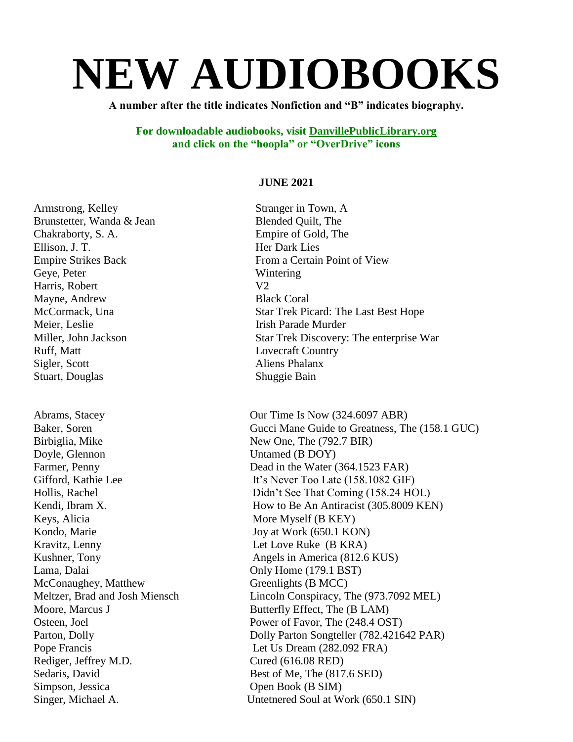# **NEW AUDIOBOOKS**

**A number after the title indicates Nonfiction and "B" indicates biography.**

**For downloadable audiobooks, visit DanvillePublicLibrary.org and click on the "hoopla" or "OverDrive" icons**

#### **JUNE 2021**

Brunstetter, Wanda & Jean Blended Quilt, The Chakraborty, S. A. Empire of Gold, The Ellison, J. T. Her Dark Lies Geye, Peter Wintering Harris, Robert V2 Mayne, Andrew Black Coral Meier, Leslie Irish Parade Murder Ruff, Matt Lovecraft Country Sigler, Scott Aliens Phalanx Stuart, Douglas Shuggie Bain Birbiglia, Mike New One, The (792.7 BIR) Doyle, Glennon Untamed (B DOY) Keys, Alicia More Myself (B KEY) Kondo, Marie Joy at Work (650.1 KON) Kravitz, Lenny Let Love Ruke (B KRA) Lama, Dalai Only Home (179.1 BST) McConaughey, Matthew Greenlights (B MCC)

Armstrong, Kelley Stranger in Town, A Empire Strikes Back From a Certain Point of View McCormack, Una Star Trek Picard: The Last Best Hope Miller, John Jackson Star Trek Discovery: The enterprise War

Abrams, Stacey **Our Time Is Now (324.6097 ABR)** Baker, Soren Gucci Mane Guide to Greatness, The (158.1 GUC) Farmer, Penny Dead in the Water (364.1523 FAR) Gifford, Kathie Lee It's Never Too Late (158.1082 GIF) Hollis, Rachel Didn't See That Coming (158.24 HOL) Kendi, Ibram X. How to Be An Antiracist (305.8009 KEN) Kushner, Tony Angels in America (812.6 KUS) Meltzer, Brad and Josh Miensch Lincoln Conspiracy, The (973.7092 MEL) Moore, Marcus J Butterfly Effect, The (B LAM) Osteen, Joel Power of Favor, The (248.4 OST) Parton, Dolly Parton Songteller (782.421642 PAR) Pope Francis Let Us Dream (282.092 FRA) Rediger, Jeffrey M.D. Cured (616.08 RED) Sedaris, David Best of Me, The (817.6 SED) Simpson, Jessica Open Book (B SIM) Singer, Michael A. Untetnered Soul at Work (650.1 SIN)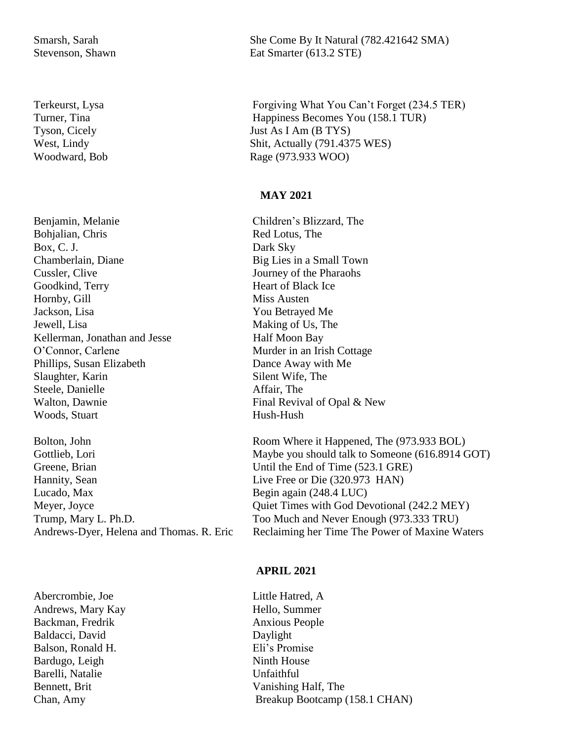Benjamin, Melanie Children's Blizzard, The Bohjalian, Chris Red Lotus, The Box, C. J. Dark Sky Chamberlain, Diane Big Lies in a Small Town Cussler, Clive Journey of the Pharaohs Goodkind, Terry Heart of Black Ice Hornby, Gill Miss Austen Jackson, Lisa You Betrayed Me Jewell, Lisa Making of Us, The Kellerman, Jonathan and Jesse Half Moon Bay O'Connor, Carlene Murder in an Irish Cottage Phillips, Susan Elizabeth Dance Away with Me Slaughter, Karin Silent Wife, The Steele, Danielle Affair, The Walton, Dawnie Final Revival of Opal & New Woods, Stuart Hush-Hush

Bolton, John Room Where it Happened, The (973.933 BOL) Greene, Brian Until the End of Time (523.1 GRE) Hannity, Sean Live Free or Die (320.973 HAN) Lucado, Max Begin again (248.4 LUC)

Abercrombie, Joe Little Hatred, A Andrews, Mary Kay **Hello**, Summer Backman, Fredrik Anxious People Baldacci, David Daylight Balson, Ronald H. Eli's Promise Bardugo, Leigh Ninth House Barelli, Natalie Unfaithful

Smarsh, Sarah She Come By It Natural (782.421642 SMA) Stevenson, Shawn Eat Smarter (613.2 STE)

Terkeurst, Lysa Forgiving What You Can't Forget (234.5 TER) Turner, Tina Happiness Becomes You (158.1 TUR) Tyson, Cicely Just As I Am (B TYS) West, Lindy Shit, Actually (791.4375 WES) Woodward, Bob Rage (973.933 WOO)

#### **MAY 2021**

Gottlieb, Lori Maybe you should talk to Someone (616.8914 GOT) Meyer, Joyce Quiet Times with God Devotional (242.2 MEY) Trump, Mary L. Ph.D. Too Much and Never Enough (973.333 TRU) Andrews-Dyer, Helena and Thomas. R. Eric Reclaiming her Time The Power of Maxine Waters

#### **APRIL 2021**

Bennett, Brit Vanishing Half, The Chan, Amy Breakup Bootcamp (158.1 CHAN)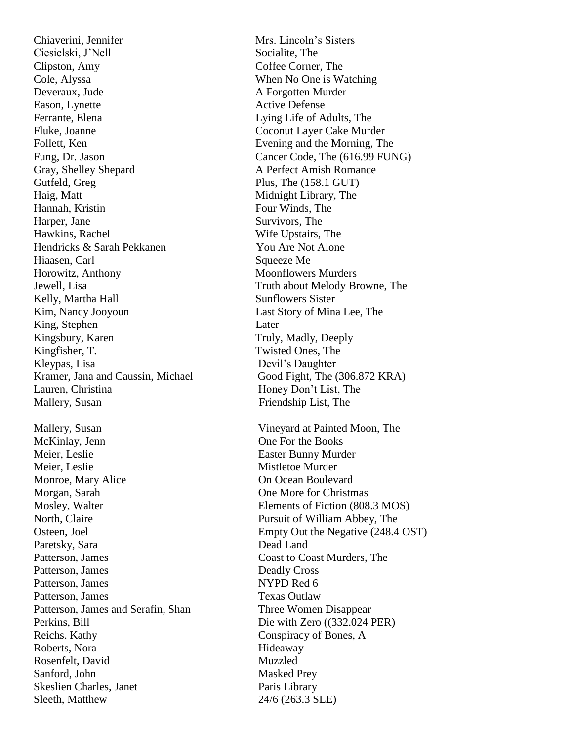Ciesielski, J'Nell Socialite, The Clipston, Amy Coffee Corner, The Cole, Alyssa When No One is Watching Deveraux, Jude A Forgotten Murder Eason, Lynette **Active Defense** Ferrante, Elena Lying Life of Adults, The Fluke, Joanne Coconut Layer Cake Murder Follett, Ken Evening and the Morning, The Fung, Dr. Jason Cancer Code, The (616.99 FUNG) Gray, Shelley Shepard A Perfect Amish Romance Gutfeld, Greg Plus, The (158.1 GUT) Haig, Matt Midnight Library, The Hannah, Kristin Four Winds, The Harper, Jane Survivors, The Hawkins, Rachel Wife Upstairs, The Hendricks & Sarah Pekkanen You Are Not Alone Hiaasen, Carl Squeeze Me Horowitz, Anthony Moonflowers Murders Jewell, Lisa Truth about Melody Browne, The Kelly, Martha Hall Sunflowers Sister Kim, Nancy Jooyoun Last Story of Mina Lee, The King, Stephen Later Kingsbury, Karen Truly, Madly, Deeply Kingfisher, T. Twisted Ones, The Kleypas, Lisa Devil's Daughter Kramer, Jana and Caussin, Michael Good Fight, The (306.872 KRA) Lauren, Christina Honey Don't List, The Mallery, Susan Friendship List, The Mallery, Susan Vineyard at Painted Moon, The McKinlay, Jenn One For the Books Meier, Leslie Easter Bunny Murder Meier, Leslie Mistletoe Murder Monroe, Mary Alice **On Ocean Boulevard** Morgan, Sarah **One More for Christmas** Mosley, Walter Elements of Fiction (808.3 MOS) North, Claire Pursuit of William Abbey, The Paretsky, Sara Dead Land Patterson, James Coast to Coast Murders, The Patterson, James Deadly Cross Patterson, James NYPD Red 6 Patterson, James Texas Outlaw Patterson, James and Serafin, Shan Three Women Disappear Perkins, Bill Die with Zero ((332.024 PER) Reichs. Kathy Conspiracy of Bones, A Roberts, Nora Hideaway Rosenfelt, David Muzzled Sanford, John Masked Prey Skeslien Charles, Janet Paris Library Sleeth, Matthew 24/6 (263.3 SLE)

Chiaverini, Jennifer Mrs. Lincoln's Sisters Osteen, Joel Empty Out the Negative (248.4 OST)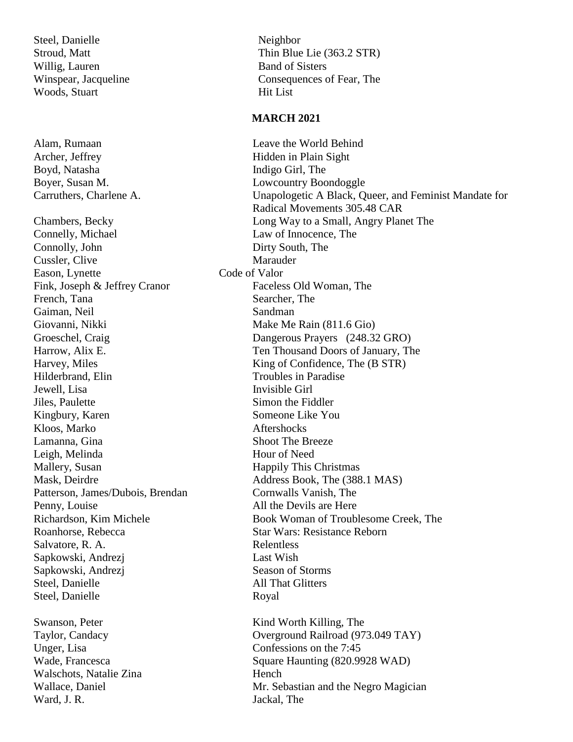Steel, Danielle Neighbor Willig, Lauren Band of Sisters Woods, Stuart Hit List

Boyd, Natasha Indigo Girl, The

Connelly, Michael Law of Innocence, The Connolly, John Dirty South, The Cussler, Clive Marauder Eason, Lynette Code of Valor Fink, Joseph & Jeffrey Cranor Faceless Old Woman, The French, Tana Searcher, The Gaiman, Neil Sandman Giovanni, Nikki Make Me Rain (811.6 Gio) Hilderbrand, Elin Troubles in Paradise Jewell, Lisa Invisible Girl **Jiles, Paulette** Simon the Fiddler Kingbury, Karen Someone Like You Kloos. Marko Aftershocks Lamanna, Gina Shoot The Breeze Leigh, Melinda Hour of Need Mallery, Susan Happily This Christmas Patterson, James/Dubois, Brendan Cornwalls Vanish, The Penny, Louise All the Devils are Here Salvatore, R. A. Relentless Sapkowski, Andrezj Last Wish Sapkowski, Andrezj Season of Storms Steel, Danielle All That Glitters Steel, Danielle Royal

Walschots, Natalie Zina **Hench** Ward, J. R. Jackal, The

Stroud, Matt Thin Blue Lie (363.2 STR) Winspear, Jacqueline Consequences of Fear, The

#### **MARCH 2021**

Alam, Rumaan Leave the World Behind Archer, Jeffrey Hidden in Plain Sight Boyer, Susan M. Lowcountry Boondoggle Carruthers, Charlene A. Unapologetic A Black, Queer, and Feminist Mandate for Radical Movements 305.48 CAR Chambers, Becky Long Way to a Small, Angry Planet The Groeschel, Craig Dangerous Prayers (248.32 GRO) Harrow, Alix E. Ten Thousand Doors of January, The Harvey, Miles King of Confidence, The (B STR) Mask, Deirdre Address Book, The (388.1 MAS) Richardson, Kim Michele Book Woman of Troublesome Creek, The Roanhorse, Rebecca Star Wars: Resistance Reborn Swanson, Peter Kind Worth Killing, The Taylor, Candacy Overground Railroad (973.049 TAY) Unger, Lisa Confessions on the 7:45 Wade, Francesca Square Haunting (820.9928 WAD) Wallace, Daniel Mr. Sebastian and the Negro Magician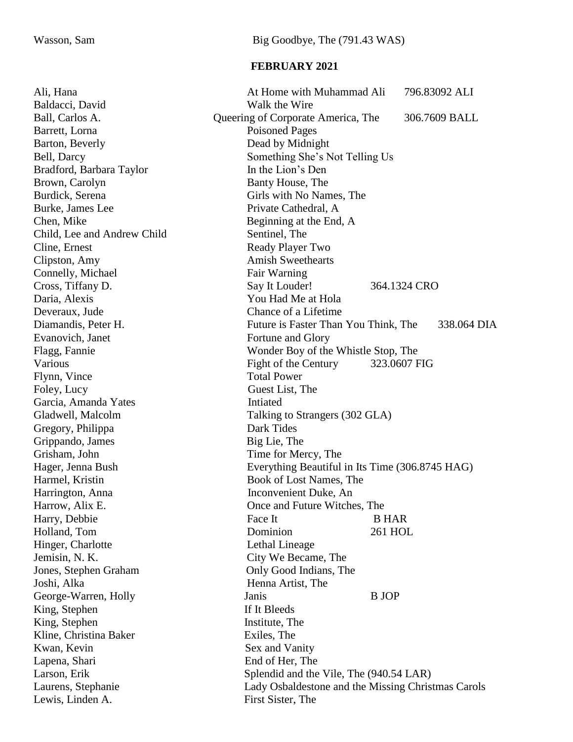#### **FEBRUARY 2021**

| Walk the Wire<br>Queering of Corporate America, The<br>306.7609 BALL<br><b>Poisoned Pages</b><br>Dead by Midnight<br>Something She's Not Telling Us<br>In the Lion's Den<br>Banty House, The<br>Girls with No Names, The<br>Private Cathedral, A<br>Chen, Mike<br>Beginning at the End, A<br>Sentinel, The<br>Ready Player Two<br><b>Amish Sweethearts</b><br>Clipston, Amy<br>Connelly, Michael<br>Fair Warning<br>Say It Louder!<br>364.1324 CRO<br>You Had Me at Hola<br>Chance of a Lifetime<br>Future is Faster Than You Think, The<br>338.064 DIA<br>Fortune and Glory<br>Wonder Boy of the Whistle Stop, The<br>Various<br>Fight of the Century<br>323.0607 FIG<br><b>Total Power</b><br>Guest List, The<br>Intiated<br>Garcia, Amanda Yates<br>Gladwell, Malcolm<br>Talking to Strangers (302 GLA)<br>Dark Tides<br>Gregory, Philippa<br>Big Lie, The<br>Grippando, James<br>Grisham, John<br>Time for Mercy, The<br>Everything Beautiful in Its Time (306.8745 HAG)<br>Hager, Jenna Bush<br>Book of Lost Names, The<br>Harmel, Kristin<br>Harrington, Anna<br>Inconvenient Duke, An<br>Harrow, Alix E.<br>Once and Future Witches, The<br>Harry, Debbie<br>Face It<br><b>B HAR</b><br>Dominion<br>Holland, Tom<br>261 HOL<br>Hinger, Charlotte<br>Lethal Lineage<br>City We Became, The<br>Jemisin, N. K.<br>Jones, Stephen Graham<br>Only Good Indians, The<br>Joshi, Alka<br>Henna Artist, The<br><b>B</b> JOP<br>George-Warren, Holly<br>Janis<br>King, Stephen<br>If It Bleeds<br>King, Stephen<br>Institute, The<br>Kline, Christina Baker<br>Exiles, The<br>Kwan, Kevin<br>Sex and Vanity<br>End of Her, The<br>Lapena, Shari<br>Larson, Erik<br>Splendid and the Vile, The (940.54 LAR)<br>Lady Osbaldestone and the Missing Christmas Carols<br>Laurens, Stephanie<br>First Sister, The<br>Lewis, Linden A. | Ali, Hana                   | At Home with Muhammad Ali<br>796.83092 ALI |
|------------------------------------------------------------------------------------------------------------------------------------------------------------------------------------------------------------------------------------------------------------------------------------------------------------------------------------------------------------------------------------------------------------------------------------------------------------------------------------------------------------------------------------------------------------------------------------------------------------------------------------------------------------------------------------------------------------------------------------------------------------------------------------------------------------------------------------------------------------------------------------------------------------------------------------------------------------------------------------------------------------------------------------------------------------------------------------------------------------------------------------------------------------------------------------------------------------------------------------------------------------------------------------------------------------------------------------------------------------------------------------------------------------------------------------------------------------------------------------------------------------------------------------------------------------------------------------------------------------------------------------------------------------------------------------------------------------------------------------------------------------------------------------------------------------------------------|-----------------------------|--------------------------------------------|
|                                                                                                                                                                                                                                                                                                                                                                                                                                                                                                                                                                                                                                                                                                                                                                                                                                                                                                                                                                                                                                                                                                                                                                                                                                                                                                                                                                                                                                                                                                                                                                                                                                                                                                                                                                                                                              | Baldacci, David             |                                            |
|                                                                                                                                                                                                                                                                                                                                                                                                                                                                                                                                                                                                                                                                                                                                                                                                                                                                                                                                                                                                                                                                                                                                                                                                                                                                                                                                                                                                                                                                                                                                                                                                                                                                                                                                                                                                                              | Ball, Carlos A.             |                                            |
|                                                                                                                                                                                                                                                                                                                                                                                                                                                                                                                                                                                                                                                                                                                                                                                                                                                                                                                                                                                                                                                                                                                                                                                                                                                                                                                                                                                                                                                                                                                                                                                                                                                                                                                                                                                                                              | Barrett, Lorna              |                                            |
|                                                                                                                                                                                                                                                                                                                                                                                                                                                                                                                                                                                                                                                                                                                                                                                                                                                                                                                                                                                                                                                                                                                                                                                                                                                                                                                                                                                                                                                                                                                                                                                                                                                                                                                                                                                                                              | Barton, Beverly             |                                            |
|                                                                                                                                                                                                                                                                                                                                                                                                                                                                                                                                                                                                                                                                                                                                                                                                                                                                                                                                                                                                                                                                                                                                                                                                                                                                                                                                                                                                                                                                                                                                                                                                                                                                                                                                                                                                                              | Bell, Darcy                 |                                            |
|                                                                                                                                                                                                                                                                                                                                                                                                                                                                                                                                                                                                                                                                                                                                                                                                                                                                                                                                                                                                                                                                                                                                                                                                                                                                                                                                                                                                                                                                                                                                                                                                                                                                                                                                                                                                                              | Bradford, Barbara Taylor    |                                            |
|                                                                                                                                                                                                                                                                                                                                                                                                                                                                                                                                                                                                                                                                                                                                                                                                                                                                                                                                                                                                                                                                                                                                                                                                                                                                                                                                                                                                                                                                                                                                                                                                                                                                                                                                                                                                                              | Brown, Carolyn              |                                            |
|                                                                                                                                                                                                                                                                                                                                                                                                                                                                                                                                                                                                                                                                                                                                                                                                                                                                                                                                                                                                                                                                                                                                                                                                                                                                                                                                                                                                                                                                                                                                                                                                                                                                                                                                                                                                                              | Burdick, Serena             |                                            |
|                                                                                                                                                                                                                                                                                                                                                                                                                                                                                                                                                                                                                                                                                                                                                                                                                                                                                                                                                                                                                                                                                                                                                                                                                                                                                                                                                                                                                                                                                                                                                                                                                                                                                                                                                                                                                              | Burke, James Lee            |                                            |
|                                                                                                                                                                                                                                                                                                                                                                                                                                                                                                                                                                                                                                                                                                                                                                                                                                                                                                                                                                                                                                                                                                                                                                                                                                                                                                                                                                                                                                                                                                                                                                                                                                                                                                                                                                                                                              |                             |                                            |
|                                                                                                                                                                                                                                                                                                                                                                                                                                                                                                                                                                                                                                                                                                                                                                                                                                                                                                                                                                                                                                                                                                                                                                                                                                                                                                                                                                                                                                                                                                                                                                                                                                                                                                                                                                                                                              | Child, Lee and Andrew Child |                                            |
|                                                                                                                                                                                                                                                                                                                                                                                                                                                                                                                                                                                                                                                                                                                                                                                                                                                                                                                                                                                                                                                                                                                                                                                                                                                                                                                                                                                                                                                                                                                                                                                                                                                                                                                                                                                                                              | Cline, Ernest               |                                            |
|                                                                                                                                                                                                                                                                                                                                                                                                                                                                                                                                                                                                                                                                                                                                                                                                                                                                                                                                                                                                                                                                                                                                                                                                                                                                                                                                                                                                                                                                                                                                                                                                                                                                                                                                                                                                                              |                             |                                            |
|                                                                                                                                                                                                                                                                                                                                                                                                                                                                                                                                                                                                                                                                                                                                                                                                                                                                                                                                                                                                                                                                                                                                                                                                                                                                                                                                                                                                                                                                                                                                                                                                                                                                                                                                                                                                                              |                             |                                            |
|                                                                                                                                                                                                                                                                                                                                                                                                                                                                                                                                                                                                                                                                                                                                                                                                                                                                                                                                                                                                                                                                                                                                                                                                                                                                                                                                                                                                                                                                                                                                                                                                                                                                                                                                                                                                                              | Cross, Tiffany D.           |                                            |
|                                                                                                                                                                                                                                                                                                                                                                                                                                                                                                                                                                                                                                                                                                                                                                                                                                                                                                                                                                                                                                                                                                                                                                                                                                                                                                                                                                                                                                                                                                                                                                                                                                                                                                                                                                                                                              | Daria, Alexis               |                                            |
|                                                                                                                                                                                                                                                                                                                                                                                                                                                                                                                                                                                                                                                                                                                                                                                                                                                                                                                                                                                                                                                                                                                                                                                                                                                                                                                                                                                                                                                                                                                                                                                                                                                                                                                                                                                                                              | Deveraux, Jude              |                                            |
|                                                                                                                                                                                                                                                                                                                                                                                                                                                                                                                                                                                                                                                                                                                                                                                                                                                                                                                                                                                                                                                                                                                                                                                                                                                                                                                                                                                                                                                                                                                                                                                                                                                                                                                                                                                                                              | Diamandis, Peter H.         |                                            |
|                                                                                                                                                                                                                                                                                                                                                                                                                                                                                                                                                                                                                                                                                                                                                                                                                                                                                                                                                                                                                                                                                                                                                                                                                                                                                                                                                                                                                                                                                                                                                                                                                                                                                                                                                                                                                              | Evanovich, Janet            |                                            |
|                                                                                                                                                                                                                                                                                                                                                                                                                                                                                                                                                                                                                                                                                                                                                                                                                                                                                                                                                                                                                                                                                                                                                                                                                                                                                                                                                                                                                                                                                                                                                                                                                                                                                                                                                                                                                              | Flagg, Fannie               |                                            |
|                                                                                                                                                                                                                                                                                                                                                                                                                                                                                                                                                                                                                                                                                                                                                                                                                                                                                                                                                                                                                                                                                                                                                                                                                                                                                                                                                                                                                                                                                                                                                                                                                                                                                                                                                                                                                              |                             |                                            |
|                                                                                                                                                                                                                                                                                                                                                                                                                                                                                                                                                                                                                                                                                                                                                                                                                                                                                                                                                                                                                                                                                                                                                                                                                                                                                                                                                                                                                                                                                                                                                                                                                                                                                                                                                                                                                              | Flynn, Vince                |                                            |
|                                                                                                                                                                                                                                                                                                                                                                                                                                                                                                                                                                                                                                                                                                                                                                                                                                                                                                                                                                                                                                                                                                                                                                                                                                                                                                                                                                                                                                                                                                                                                                                                                                                                                                                                                                                                                              | Foley, Lucy                 |                                            |
|                                                                                                                                                                                                                                                                                                                                                                                                                                                                                                                                                                                                                                                                                                                                                                                                                                                                                                                                                                                                                                                                                                                                                                                                                                                                                                                                                                                                                                                                                                                                                                                                                                                                                                                                                                                                                              |                             |                                            |
|                                                                                                                                                                                                                                                                                                                                                                                                                                                                                                                                                                                                                                                                                                                                                                                                                                                                                                                                                                                                                                                                                                                                                                                                                                                                                                                                                                                                                                                                                                                                                                                                                                                                                                                                                                                                                              |                             |                                            |
|                                                                                                                                                                                                                                                                                                                                                                                                                                                                                                                                                                                                                                                                                                                                                                                                                                                                                                                                                                                                                                                                                                                                                                                                                                                                                                                                                                                                                                                                                                                                                                                                                                                                                                                                                                                                                              |                             |                                            |
|                                                                                                                                                                                                                                                                                                                                                                                                                                                                                                                                                                                                                                                                                                                                                                                                                                                                                                                                                                                                                                                                                                                                                                                                                                                                                                                                                                                                                                                                                                                                                                                                                                                                                                                                                                                                                              |                             |                                            |
|                                                                                                                                                                                                                                                                                                                                                                                                                                                                                                                                                                                                                                                                                                                                                                                                                                                                                                                                                                                                                                                                                                                                                                                                                                                                                                                                                                                                                                                                                                                                                                                                                                                                                                                                                                                                                              |                             |                                            |
|                                                                                                                                                                                                                                                                                                                                                                                                                                                                                                                                                                                                                                                                                                                                                                                                                                                                                                                                                                                                                                                                                                                                                                                                                                                                                                                                                                                                                                                                                                                                                                                                                                                                                                                                                                                                                              |                             |                                            |
|                                                                                                                                                                                                                                                                                                                                                                                                                                                                                                                                                                                                                                                                                                                                                                                                                                                                                                                                                                                                                                                                                                                                                                                                                                                                                                                                                                                                                                                                                                                                                                                                                                                                                                                                                                                                                              |                             |                                            |
|                                                                                                                                                                                                                                                                                                                                                                                                                                                                                                                                                                                                                                                                                                                                                                                                                                                                                                                                                                                                                                                                                                                                                                                                                                                                                                                                                                                                                                                                                                                                                                                                                                                                                                                                                                                                                              |                             |                                            |
|                                                                                                                                                                                                                                                                                                                                                                                                                                                                                                                                                                                                                                                                                                                                                                                                                                                                                                                                                                                                                                                                                                                                                                                                                                                                                                                                                                                                                                                                                                                                                                                                                                                                                                                                                                                                                              |                             |                                            |
|                                                                                                                                                                                                                                                                                                                                                                                                                                                                                                                                                                                                                                                                                                                                                                                                                                                                                                                                                                                                                                                                                                                                                                                                                                                                                                                                                                                                                                                                                                                                                                                                                                                                                                                                                                                                                              |                             |                                            |
|                                                                                                                                                                                                                                                                                                                                                                                                                                                                                                                                                                                                                                                                                                                                                                                                                                                                                                                                                                                                                                                                                                                                                                                                                                                                                                                                                                                                                                                                                                                                                                                                                                                                                                                                                                                                                              |                             |                                            |
|                                                                                                                                                                                                                                                                                                                                                                                                                                                                                                                                                                                                                                                                                                                                                                                                                                                                                                                                                                                                                                                                                                                                                                                                                                                                                                                                                                                                                                                                                                                                                                                                                                                                                                                                                                                                                              |                             |                                            |
|                                                                                                                                                                                                                                                                                                                                                                                                                                                                                                                                                                                                                                                                                                                                                                                                                                                                                                                                                                                                                                                                                                                                                                                                                                                                                                                                                                                                                                                                                                                                                                                                                                                                                                                                                                                                                              |                             |                                            |
|                                                                                                                                                                                                                                                                                                                                                                                                                                                                                                                                                                                                                                                                                                                                                                                                                                                                                                                                                                                                                                                                                                                                                                                                                                                                                                                                                                                                                                                                                                                                                                                                                                                                                                                                                                                                                              |                             |                                            |
|                                                                                                                                                                                                                                                                                                                                                                                                                                                                                                                                                                                                                                                                                                                                                                                                                                                                                                                                                                                                                                                                                                                                                                                                                                                                                                                                                                                                                                                                                                                                                                                                                                                                                                                                                                                                                              |                             |                                            |
|                                                                                                                                                                                                                                                                                                                                                                                                                                                                                                                                                                                                                                                                                                                                                                                                                                                                                                                                                                                                                                                                                                                                                                                                                                                                                                                                                                                                                                                                                                                                                                                                                                                                                                                                                                                                                              |                             |                                            |
|                                                                                                                                                                                                                                                                                                                                                                                                                                                                                                                                                                                                                                                                                                                                                                                                                                                                                                                                                                                                                                                                                                                                                                                                                                                                                                                                                                                                                                                                                                                                                                                                                                                                                                                                                                                                                              |                             |                                            |
|                                                                                                                                                                                                                                                                                                                                                                                                                                                                                                                                                                                                                                                                                                                                                                                                                                                                                                                                                                                                                                                                                                                                                                                                                                                                                                                                                                                                                                                                                                                                                                                                                                                                                                                                                                                                                              |                             |                                            |
|                                                                                                                                                                                                                                                                                                                                                                                                                                                                                                                                                                                                                                                                                                                                                                                                                                                                                                                                                                                                                                                                                                                                                                                                                                                                                                                                                                                                                                                                                                                                                                                                                                                                                                                                                                                                                              |                             |                                            |
|                                                                                                                                                                                                                                                                                                                                                                                                                                                                                                                                                                                                                                                                                                                                                                                                                                                                                                                                                                                                                                                                                                                                                                                                                                                                                                                                                                                                                                                                                                                                                                                                                                                                                                                                                                                                                              |                             |                                            |
|                                                                                                                                                                                                                                                                                                                                                                                                                                                                                                                                                                                                                                                                                                                                                                                                                                                                                                                                                                                                                                                                                                                                                                                                                                                                                                                                                                                                                                                                                                                                                                                                                                                                                                                                                                                                                              |                             |                                            |
|                                                                                                                                                                                                                                                                                                                                                                                                                                                                                                                                                                                                                                                                                                                                                                                                                                                                                                                                                                                                                                                                                                                                                                                                                                                                                                                                                                                                                                                                                                                                                                                                                                                                                                                                                                                                                              |                             |                                            |
|                                                                                                                                                                                                                                                                                                                                                                                                                                                                                                                                                                                                                                                                                                                                                                                                                                                                                                                                                                                                                                                                                                                                                                                                                                                                                                                                                                                                                                                                                                                                                                                                                                                                                                                                                                                                                              |                             |                                            |
|                                                                                                                                                                                                                                                                                                                                                                                                                                                                                                                                                                                                                                                                                                                                                                                                                                                                                                                                                                                                                                                                                                                                                                                                                                                                                                                                                                                                                                                                                                                                                                                                                                                                                                                                                                                                                              |                             |                                            |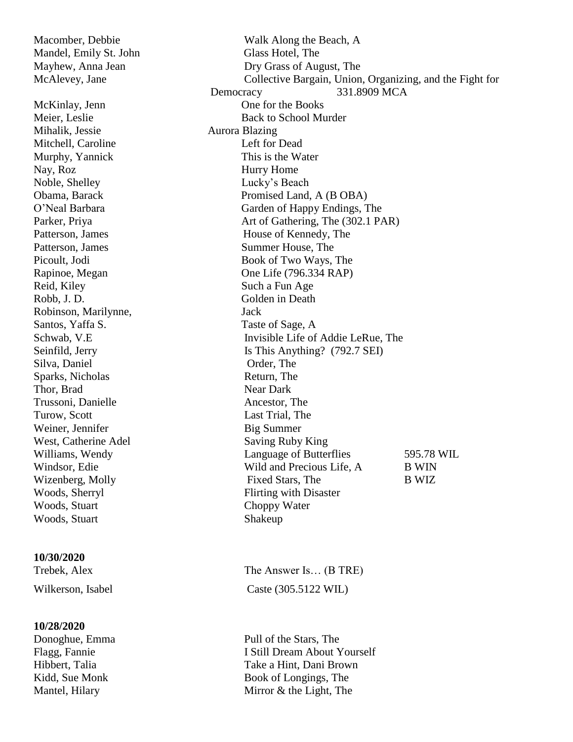Mihalik, Jessie Aurora Blazing Mitchell, Caroline Left for Dead Murphy, Yannick This is the Water Nay, Roz Hurry Home Noble, Shelley Lucky's Beach Reid, Kiley Such a Fun Age Robb, J. D. Golden in Death Robinson, Marilynne, Jack Santos, Yaffa S. Taste of Sage, A Silva, Daniel Order, The Sparks, Nicholas Return, The Thor, Brad Near Dark Trussoni, Danielle **Ancestor**, The Ancestor, The Turow, Scott Last Trial, The Weiner, Jennifer Big Summer Woods, Stuart Choppy Water Woods, Stuart Shakeup

#### **10/30/2020**

#### **10/28/2020**

Macomber, Debbie Walk Along the Beach, A Mandel, Emily St. John Glass Hotel, The Mayhew, Anna Jean Dry Grass of August, The McAlevey, Jane Collective Bargain, Union, Organizing, and the Fight for Democracy 331.8909 MCA McKinlay, Jenn One for the Books Meier, Leslie Back to School Murder Obama, Barack Promised Land, A (B OBA) O'Neal Barbara Garden of Happy Endings, The Parker, Priya Art of Gathering, The (302.1 PAR) Patterson, James House of Kennedy, The Patterson, James Summer House, The Picoult, Jodi Book of Two Ways, The Rapinoe, Megan One Life (796.334 RAP) Schwab, V.E Invisible Life of Addie LeRue, The Seinfild, Jerry Is This Anything? (792.7 SEI) West, Catherine Adel Saving Ruby King Williams, Wendy Language of Butterflies 595.78 WIL Windsor, Edie Wild and Precious Life, A B WIN Wizenberg, Molly Fixed Stars, The B WIZ Woods, Sherryl Flirting with Disaster

Trebek, Alex The Answer Is... (B TRE) Wilkerson, Isabel Caste (305.5122 WIL)

Donoghue, Emma Pull of the Stars, The Flagg, Fannie I Still Dream About Yourself Hibbert, Talia Take a Hint, Dani Brown Kidd, Sue Monk Book of Longings, The Mantel, Hilary Mirror & the Light, The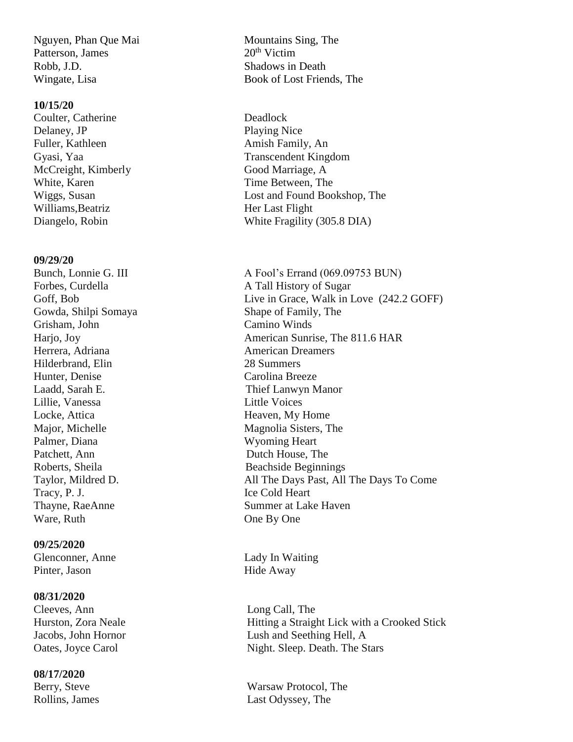Nguyen, Phan Que Mai Mountains Sing, The Patterson, James 20<sup>th</sup> Victim Robb, J.D. Shadows in Death

#### **10/15/20**

Coulter, Catherine Deadlock Delaney, JP Playing Nice Fuller, Kathleen Amish Family, An McCreight, Kimberly Good Marriage, A White, Karen Time Between, The Williams, Beatriz Her Last Flight

#### **09/29/20**

Grisham, John Camino Winds Herrera, Adriana **American Dreamers** Hilderbrand, Elin 28 Summers Hunter, Denise Carolina Breeze Lillie, Vanessa Little Voices Locke, Attica Heaven, My Home Palmer, Diana Wyoming Heart Patchett, Ann Dutch House, The Tracy, P. J. Ice Cold Heart Ware, Ruth One By One

#### **09/25/2020**

Glenconner, Anne Lady In Waiting Pinter, Jason Hide Away

#### **08/31/2020**

Cleeves, Ann Long Call, The

#### **08/17/2020**

Wingate, Lisa Book of Lost Friends, The

Gyasi, Yaa Transcendent Kingdom Wiggs, Susan **Lost and Found Bookshop**, The Diangelo, Robin White Fragility (305.8 DIA)

Bunch, Lonnie G. III A Fool's Errand (069.09753 BUN) Forbes, Curdella **A Tall History of Sugar** Goff, Bob Live in Grace, Walk in Love (242.2 GOFF) Gowda, Shilpi Somaya Shape of Family, The Harjo, Joy American Sunrise, The 811.6 HAR Laadd, Sarah E. Thief Lanwyn Manor Major, Michelle Magnolia Sisters, The Roberts, Sheila Beachside Beginnings Taylor, Mildred D. All The Days Past, All The Days To Come Thayne, RaeAnne Summer at Lake Haven

Hurston, Zora Neale **Hitting a Straight Lick with a Crooked Stick** Jacobs, John Hornor Lush and Seething Hell, A Oates, Joyce Carol Night. Sleep. Death. The Stars

Berry, Steve Warsaw Protocol, The Rollins, James Last Odyssey, The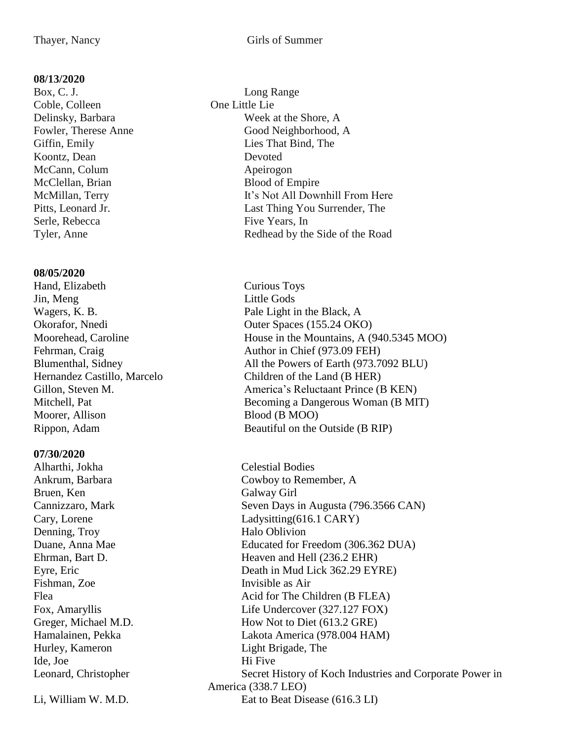#### **08/13/2020**

Box, C. J. Long Range Coble, Colleen One Little Lie Koontz, Dean Devoted McCann, Colum Apeirogon McClellan, Brian Blood of Empire Serle, Rebecca Five Years, In

#### **08/05/2020**

Hand, Elizabeth Curious Toys Jin, Meng Little Gods Wagers, K. B. Pale Light in the Black, A Moorer, Allison Blood (B MOO)

#### **07/30/2020**

Alharthi, Jokha Celestial Bodies Bruen, Ken Galway Girl Denning, Troy Halo Oblivion Fishman, Zoe Invisible as Air Ide, Joe Hi Five

- Delinsky, Barbara Week at the Shore, A Fowler, Therese Anne Good Neighborhood, A Giffin, Emily Lies That Bind, The McMillan, Terry It's Not All Downhill From Here Pitts, Leonard Jr. **Last Thing You Surrender**, The Tyler, Anne Redhead by the Side of the Road
- Okorafor, Nnedi<br>
Outer Spaces (155.24 OKO) Moorehead, Caroline House in the Mountains, A (940.5345 MOO) Fehrman, Craig Author in Chief (973.09 FEH) Blumenthal, Sidney All the Powers of Earth (973.7092 BLU) Hernandez Castillo, Marcelo Children of the Land (B HER) Gillon, Steven M. America's Reluctaant Prince (B KEN) Mitchell, Pat Becoming a Dangerous Woman (B MIT) Rippon, Adam Beautiful on the Outside (B RIP)

Ankrum, Barbara Cowboy to Remember, A Cannizzaro, Mark Seven Days in Augusta (796.3566 CAN) Cary, Lorene Ladysitting(616.1 CARY) Duane, Anna Mae Educated for Freedom (306.362 DUA) Ehrman, Bart D. Heaven and Hell (236.2 EHR) Eyre, Eric Death in Mud Lick 362.29 EYRE) Flea Acid for The Children (B FLEA) Fox, Amaryllis Life Undercover (327.127 FOX) Greger, Michael M.D. How Not to Diet (613.2 GRE) Hamalainen, Pekka Lakota America (978.004 HAM) Hurley, Kameron Light Brigade, The Leonard, Christopher Secret History of Koch Industries and Corporate Power in America (338.7 LEO) Li, William W. M.D. Eat to Beat Disease (616.3 LI)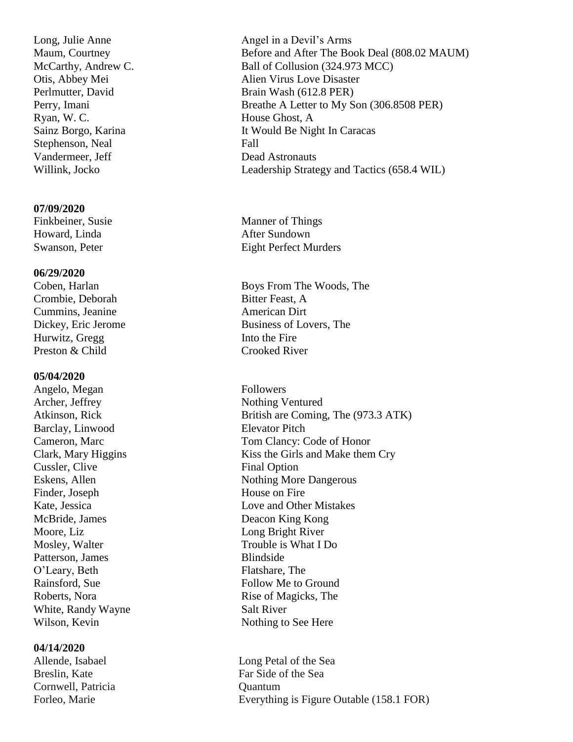Long, Julie Anne Angel in a Devil's Arms Ryan, W. C. House Ghost, A Stephenson, Neal Fall Vandermeer, Jeff Dead Astronauts

#### **07/09/2020**

Howard, Linda **After Sundown** 

#### **06/29/2020**

Crombie, Deborah Bitter Feast, A **Cummins, Jeanine American Dirt** Hurwitz, Gregg Into the Fire Preston & Child Crooked River

#### **05/04/2020**

Angelo, Megan Followers Archer, Jeffrey Nothing Ventured Barclay, Linwood Elevator Pitch Cussler, Clive Final Option Finder, Joseph House on Fire McBride, James Deacon King Kong Moore, Liz Long Bright River Patterson, James Blindside O'Leary, Beth Flatshare, The White, Randy Wayne Salt River Wilson, Kevin Nothing to See Here

#### **04/14/2020**

Allende, Isabael **Long Petal of the Sea** Cornwell, Patricia Quantum

Maum, Courtney Before and After The Book Deal (808.02 MAUM) McCarthy, Andrew C. Ball of Collusion (324.973 MCC) Otis, Abbey Mei Alien Virus Love Disaster Perlmutter, David Brain Wash (612.8 PER) Perry, Imani Breathe A Letter to My Son (306.8508 PER) Sainz Borgo, Karina It Would Be Night In Caracas Willink, Jocko Leadership Strategy and Tactics (658.4 WIL)

Finkbeiner, Susie Manner of Things Swanson, Peter Eight Perfect Murders

Coben, Harlan Boys From The Woods, The Dickey, Eric Jerome Business of Lovers, The

Atkinson, Rick British are Coming, The (973.3 ATK) Cameron, Marc Tom Clancy: Code of Honor Clark, Mary Higgins Kiss the Girls and Make them Cry Eskens, Allen Nothing More Dangerous Kate, Jessica Love and Other Mistakes Mosley, Walter Trouble is What I Do Rainsford, Sue Follow Me to Ground Roberts, Nora Rise of Magicks, The

Breslin, Kate Far Side of the Sea Forleo, Marie **Everything is Figure Outable (158.1 FOR)**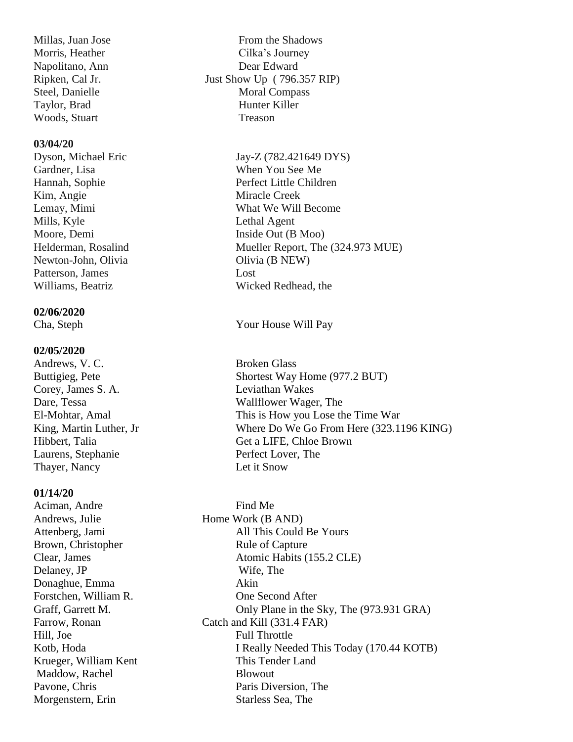Woods, Stuart Treason

#### **03/04/20**

Gardner, Lisa When You See Me Kim, Angie Miracle Creek Mills, Kyle Lethal Agent Moore, Demi Inside Out (B Moo) Newton-John, Olivia Olivia (B NEW) Patterson, James Lost

#### **02/06/2020**

#### **02/05/2020**

Corey, James S. A. Leviathan Wakes Laurens, Stephanie Perfect Lover, The Thayer, Nancy Let it Snow

#### **01/14/20**

Aciman, Andre Find Me Andrews, Julie Home Work (B AND) Delaney, JP Wife, The Donaghue, Emma Akin Hill, Joe Full Throttle Maddow, Rachel Blowout

Millas, Juan Jose From the Shadows Morris, Heather Cilka's Journey Napolitano, Ann Dear Edward Ripken, Cal Jr. Just Show Up ( 796.357 RIP) Steel, Danielle Moral Compass Taylor, Brad Hunter Killer

Dyson, Michael Eric Jay-Z (782.421649 DYS) Hannah, Sophie Perfect Little Children Lemay, Mimi What We Will Become Helderman, Rosalind Mueller Report, The (324.973 MUE) Williams, Beatriz Wicked Redhead, the

#### Cha, Steph Your House Will Pay

Andrews, V. C. Broken Glass Buttigieg, Pete Shortest Way Home (977.2 BUT) Dare, Tessa Wallflower Wager, The El-Mohtar, Amal This is How you Lose the Time War King, Martin Luther, Jr Where Do We Go From Here (323.1196 KING) Hibbert, Talia Get a LIFE, Chloe Brown

Attenberg, Jami All This Could Be Yours Brown, Christopher Rule of Capture Clear, James Atomic Habits (155.2 CLE) Forstchen, William R. One Second After Graff, Garrett M. Conly Plane in the Sky, The (973.931 GRA) Farrow, Ronan Catch and Kill (331.4 FAR) Kotb, Hoda I Really Needed This Today (170.44 KOTB) Krueger, William Kent This Tender Land Pavone, Chris Paris Diversion, The Morgenstern, Erin Starless Sea, The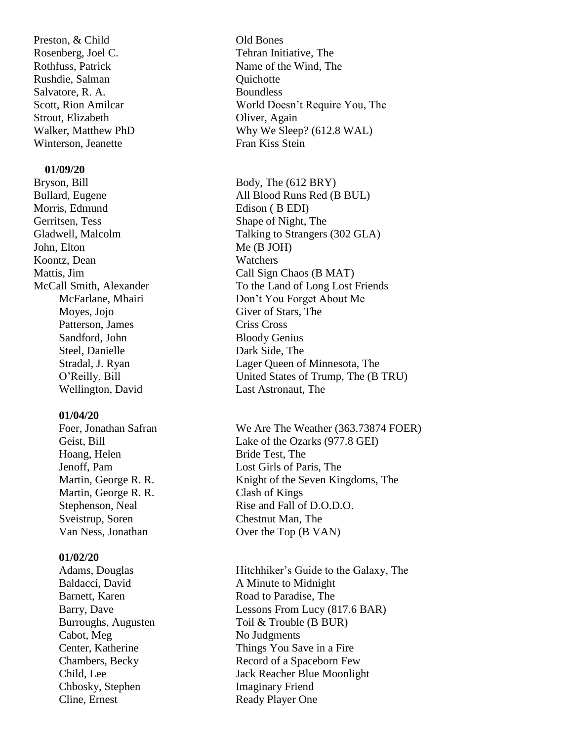Preston, & Child Old Bones Rosenberg, Joel C. Tehran Initiative, The Rushdie, Salman Quichotte Salvatore, R. A. Boundless Strout, Elizabeth Oliver, Again Winterson, Jeanette Fran Kiss Stein

#### **01/09/20**

Bryson, Bill Body, The (612 BRY) Morris, Edmund Edison ( B EDI) Gerritsen, Tess Shape of Night, The John, Elton Me (B JOH) Koontz, Dean Watchers Moyes, Jojo Giver of Stars, The Patterson, James Criss Cross Sandford, John Bloody Genius Steel, Danielle Dark Side, The Wellington, David Last Astronaut, The

#### **01/04/20**

Hoang, Helen Bride Test, The Martin, George R. R. Clash of Kings Sveistrup, Soren Chestnut Man, The

#### **01/02/20**

Cabot, Meg No Judgments Chbosky, Stephen Imaginary Friend Cline, Ernest Ready Player One

Rothfuss, Patrick Name of the Wind, The Scott, Rion Amilcar World Doesn't Require You, The Walker, Matthew PhD Why We Sleep? (612.8 WAL)

Bullard, Eugene All Blood Runs Red (B BUL) Gladwell, Malcolm Talking to Strangers (302 GLA) Mattis, Jim Call Sign Chaos (B MAT) McCall Smith, Alexander To the Land of Long Lost Friends McFarlane, Mhairi Don't You Forget About Me Stradal, J. Ryan Lager Queen of Minnesota, The O'Reilly, Bill United States of Trump, The (B TRU)

Foer, Jonathan Safran We Are The Weather (363.73874 FOER) Geist, Bill Lake of the Ozarks (977.8 GEI) Jenoff, Pam Lost Girls of Paris, The Martin, George R. R. Knight of the Seven Kingdoms, The Stephenson, Neal Rise and Fall of D.O.D.O. Van Ness, Jonathan Over the Top (B VAN)

Adams, Douglas Hitchhiker's Guide to the Galaxy, The Baldacci, David A Minute to Midnight Barnett, Karen Road to Paradise, The Barry, Dave Lessons From Lucy (817.6 BAR) Burroughs, Augusten Toil & Trouble (B BUR) Center, Katherine Things You Save in a Fire Chambers, Becky Record of a Spaceborn Few Child, Lee Jack Reacher Blue Moonlight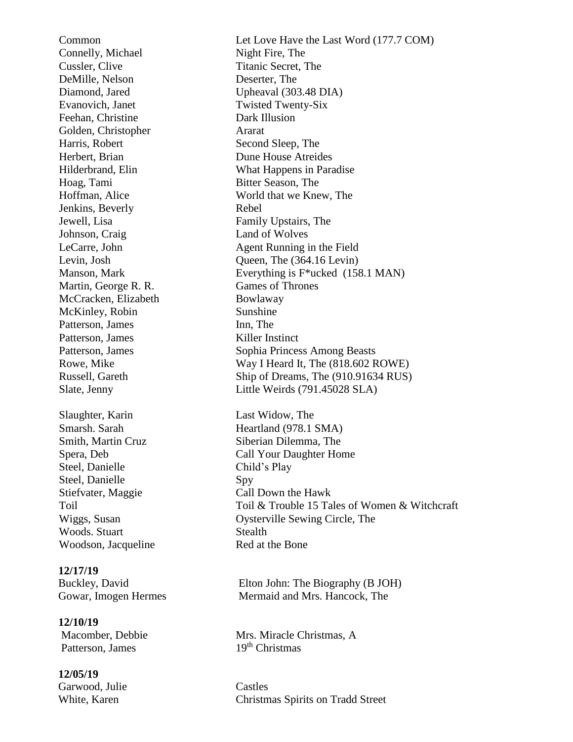Connelly, Michael Night Fire, The Cussler, Clive Titanic Secret, The DeMille, Nelson Deserter, The Diamond, Jared Upheaval (303.48 DIA) Evanovich, Janet Twisted Twenty-Six Feehan, Christine Dark Illusion Golden, Christopher Ararat Harris, Robert Second Sleep, The Herbert, Brian Dune House Atreides Hoag, Tami Bitter Season, The Jenkins, Beverly Rebel Jewell, Lisa Family Upstairs, The Johnson, Craig Land of Wolves Martin, George R. R. Games of Thrones McCracken, Elizabeth Bowlaway McKinley, Robin Sunshine Patterson, James Inn, The Patterson, James Killer Instinct Slaughter, Karin Last Widow, The Smarsh. Sarah Heartland (978.1 SMA) Smith, Martin Cruz Siberian Dilemma, The Steel, Danielle Child's Play Steel, Danielle Spy Stiefvater, Maggie Call Down the Hawk Woods. Stuart Stealth Woodson, Jacqueline Red at the Bone

## **12/17/19**

 **12/10/19** Patterson, James 19th Christmas

 **12/05/19** Garwood, Julie Castles

Common Let Love Have the Last Word (177.7 COM) Hilderbrand, Elin What Happens in Paradise Hoffman, Alice World that we Knew, The LeCarre, John Agent Running in the Field Levin, Josh Queen, The (364.16 Levin) Manson, Mark Everything is F<sup>\*</sup>ucked (158.1 MAN) Patterson, James Sophia Princess Among Beasts Rowe, Mike Way I Heard It, The (818.602 ROWE) Russell, Gareth Ship of Dreams, The (910.91634 RUS) Slate, Jenny Little Weirds (791.45028 SLA)

Spera, Deb Call Your Daughter Home Toil & Trouble 15 Tales of Women & Witchcraft Wiggs, Susan **Oysterville Sewing Circle**, The

**Buckley, David** Elton John: The Biography (B JOH) Gowar, Imogen Hermes Mermaid and Mrs. Hancock, The

**Macomber, Debbie Mrs. Miracle Christmas, A** 

White, Karen Christmas Spirits on Tradd Street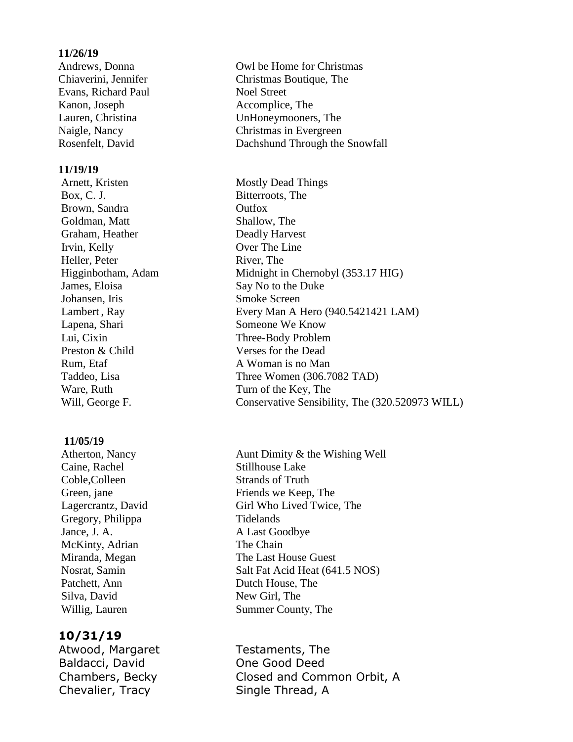#### **11/26/19**

Evans, Richard Paul Noel Street Kanon, Joseph Accomplice, The

#### **11/19/19**

Arnett, Kristen Mostly Dead Things Box, C. J. Bitterroots, The Brown, Sandra **Outfox** Goldman, Matt Shallow, The **Canam, Heather Deadly Harvest Irvin, Kelly Over The Line** Heller, Peter River, The James, Eloisa Say No to the Duke Johansen, Iris Smoke Screen **Lapena, Shari Someone We Know**  Lui, Cixin Three-Body Problem Preston & Child Verses for the Dead Rum, Etaf A Woman is no Man Ware, Ruth Turn of the Key, The

#### **11/05/19**

Caine, Rachel Stillhouse Lake Coble,Colleen Strands of Truth Gregory, Philippa Tidelands Jance, J. A. A Last Goodbye McKinty, Adrian The Chain Patchett, Ann Dutch House, The Silva, David New Girl, The

#### **10/31/19**

Atwood, Margaret Testaments, The Baldacci, David **One Good Deed** Chevalier, Tracy Single Thread, A

Andrews, Donna **Canadian Cowl be Home for Christmas**  Chiaverini, Jennifer Christmas Boutique, The **Lauren, Christina UnHoneymooners, The**  Naigle, Nancy Christmas in Evergreen Rosenfelt, David Dachshund Through the Snowfall

Higginbotham, Adam Midnight in Chernobyl (353.17 HIG) Lambert, Ray **Every Man A Hero (940.5421421 LAM)** Taddeo, Lisa Three Women (306.7082 TAD) Will, George F. Conservative Sensibility, The (320.520973 WILL)

Atherton, Nancy *Aunt Dimity & the Wishing Well* Green, jane Friends we Keep, The Lagercrantz, David Girl Who Lived Twice, The Miranda, Megan The Last House Guest Nosrat, Samin Salt Fat Acid Heat (641.5 NOS) Willig, Lauren Summer County, The

Chambers, Becky Closed and Common Orbit, A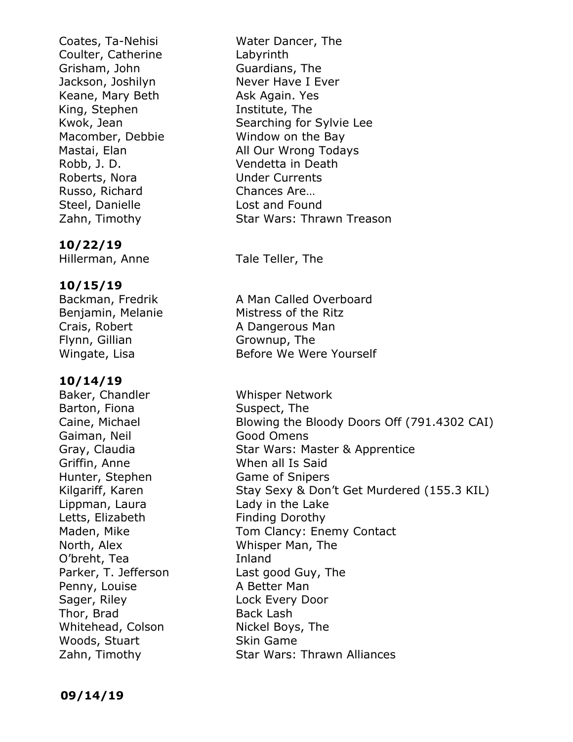Coates, Ta-Nehisi Water Dancer, The Coulter, Catherine Labyrinth Grisham, John Guardians, The Jackson, Joshilyn Never Have I Ever Keane, Mary Beth Ask Again. Yes **King, Stephen Institute, The** Macomber, Debbie Window on the Bay Robb, J. D. Vendetta in Death Roberts, Nora **Under Currents**  Russo, Richard Chances Are… Steel, Danielle Lost and Found

#### **10/22/19**

Hillerman, Anne Tale Teller, The

#### **10/15/19**

Flynn, Gillian Grownup, The

#### **10/14/19**

Baker, Chandler Whisper Network Barton, Fiona Suspect, The Gaiman, Neil **Good Omens** Griffin, Anne When all Is Said Hunter, Stephen Game of Snipers Lippman, Laura Lady in the Lake Letts, Elizabeth Finding Dorothy North, Alex Whisper Man, The O'breht, Tea Inland Parker, T. Jefferson Last good Guy, The Penny, Louise **A Better Man** Sager, Riley **Lock Every Door** Thor, Brad Back Lash Whitehead, Colson Nickel Boys, The Woods, Stuart Skin Game

**Kwok, Jean Searching for Sylvie Lee Mastai, Elan All Our Wrong Todays** Zahn, Timothy Star Wars: Thrawn Treason

Backman, Fredrik **A** Man Called Overboard Benjamin, Melanie **Mistress of the Ritz** Crais, Robert **A Dangerous Man** Wingate, Lisa Before We Were Yourself

Caine, Michael Blowing the Bloody Doors Off (791.4302 CAI) Gray, Claudia **Star Wars: Master & Apprentice** Kilgariff, Karen Stay Sexy & Don't Get Murdered (155.3 KIL) Maden, Mike Tom Clancy: Enemy Contact Zahn, Timothy Star Wars: Thrawn Alliances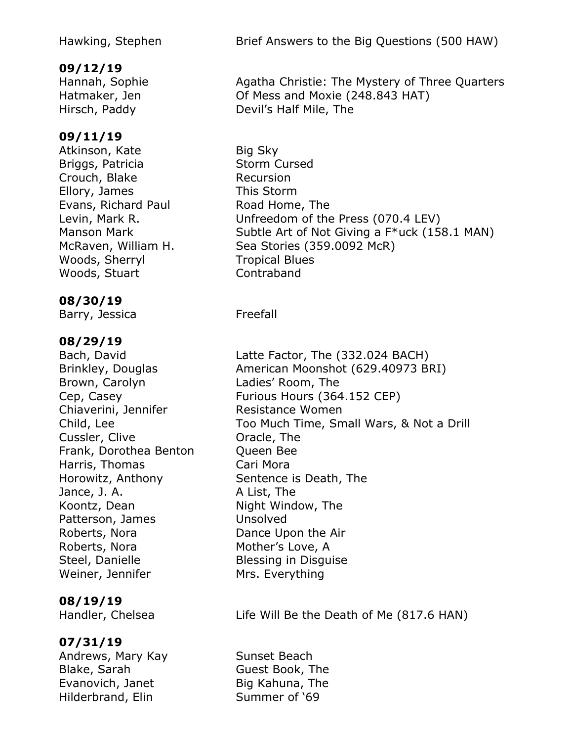## **09/12/19**

#### **09/11/19**

Atkinson, Kate Big Sky Briggs, Patricia Storm Cursed Crouch, Blake Recursion Ellory, James This Storm Evans, Richard Paul **Road Home, The** Woods, Sherryl **Tropical Blues** Woods, Stuart Contraband

#### **08/30/19**

Barry, Jessica Freefall

#### **08/29/19**

Brown, Carolyn Ladies' Room, The Chiaverini, Jennifer Resistance Women Cussler, Clive **Cussler, Clive Cussler**, Clive Frank, Dorothea Benton Queen Bee Harris, Thomas Cari Mora Horowitz, Anthony Sentence is Death, The Jance, J. A. A List, The Koontz, Dean Night Window, The Patterson, James Unsolved Roberts, Nora **Dance Upon the Air** Roberts, Nora Mother's Love, A Steel, Danielle Blessing in Disguise Weiner, Jennifer Mrs. Everything

#### **08/19/19**

## **07/31/19**

Andrews, Mary Kay **Sunset Beach** Blake, Sarah Guest Book, The Evanovich, Janet Big Kahuna, The Hilderbrand, Elin Summer of '69

Hawking, Stephen Brief Answers to the Big Questions (500 HAW)

Hannah, Sophie **Agatha Christie: The Mystery of Three Quarters** Hatmaker, Jen **Communisher Communisher** Of Mess and Moxie (248.843 HAT) Hirsch, Paddy Devil's Half Mile, The

Levin, Mark R. Unfreedom of the Press (070.4 LEV) Manson Mark Subtle Art of Not Giving a F\*uck (158.1 MAN) McRaven, William H. Sea Stories (359.0092 McR)

Bach, David Latte Factor, The (332.024 BACH) Brinkley, Douglas **American Moonshot (629.40973 BRI)** Cep, Casey **Furious Hours (364.152 CEP)** Child, Lee Too Much Time, Small Wars, & Not a Drill

Handler, Chelsea Life Will Be the Death of Me (817.6 HAN)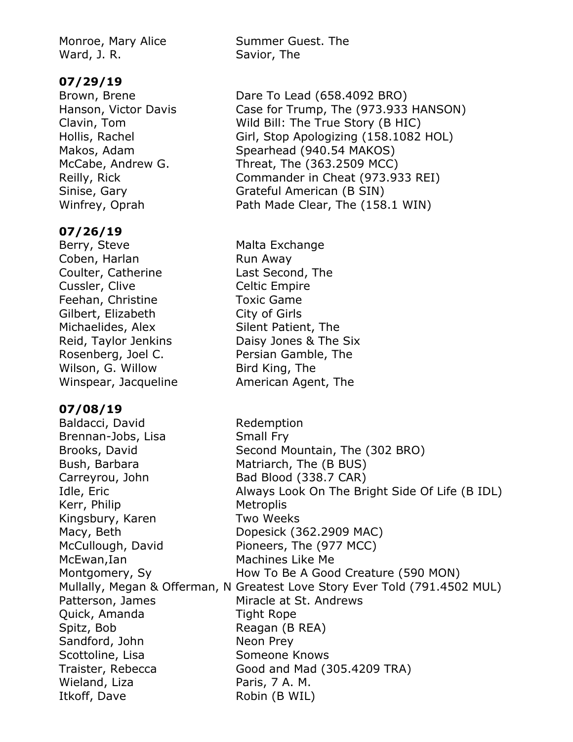Ward, J. R. Savior, The

#### **07/29/19**

#### **07/26/19**

Berry, Steve Malta Exchange Coben, Harlan Run Away Coulter, Catherine Last Second, The Cussler, Clive Celtic Empire Feehan, Christine Toxic Game Gilbert, Elizabeth City of Girls Michaelides, Alex Silent Patient, The Rosenberg, Joel C. Persian Gamble, The Wilson, G. Willow Bird King, The Winspear, Jacqueline **American Agent, The** 

#### **07/08/19**

Baldacci, David Redemption Brennan-Jobs, Lisa Small Fry Bush, Barbara Matriarch, The (B BUS) Carreyrou, John Bad Blood (338.7 CAR) Kerr, Philip Metroplis Kingsbury, Karen Two Weeks Macy, Beth Dopesick (362.2909 MAC) McCullough, David Pioneers, The (977 MCC) McEwan,Ian Machines Like Me Patterson, James Miracle at St. Andrews Quick, Amanda Tight Rope Spitz, Bob Reagan (B REA) Sandford, John Neon Prey Scottoline, Lisa Someone Knows Traister, Rebecca Good and Mad (305.4209 TRA) Wieland, Liza Paris, 7 A. M. Itkoff, Dave Robin (B WIL)

Monroe, Mary Alice Summer Guest. The

Brown, Brene Dare To Lead (658.4092 BRO) Hanson, Victor Davis Case for Trump, The (973.933 HANSON) Clavin, Tom Wild Bill: The True Story (B HIC) Hollis, Rachel Girl, Stop Apologizing (158.1082 HOL) Makos, Adam Spearhead (940.54 MAKOS) McCabe, Andrew G. Threat, The (363.2509 MCC) Reilly, Rick Commander in Cheat (973.933 REI) Sinise, Gary Grateful American (B SIN) Winfrey, Oprah **Path Made Clear, The (158.1 WIN)** 

Reid, Taylor Jenkins Daisy Jones & The Six

Brooks, David Second Mountain, The (302 BRO) Idle, Eric **Always Look On The Bright Side Of Life (B IDL)** Montgomery, Sy **How To Be A Good Creature (590 MON)** Mullally, Megan & Offerman, N Greatest Love Story Ever Told (791.4502 MUL)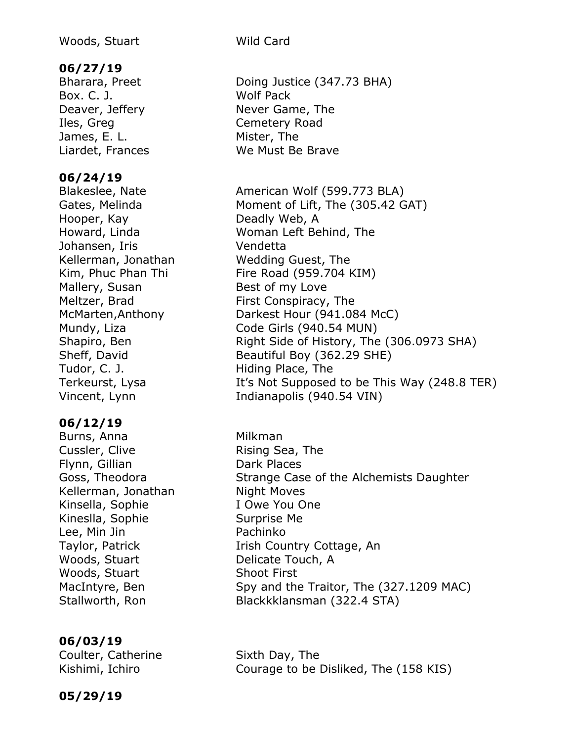#### **06/27/19**

Box. C. J. Wolf Pack Iles, Greg Cemetery Road James, E. L. Mister, The

#### **06/24/19**

Hooper, Kay **Deadly Web, A** Johansen, Iris Vendetta Kellerman, Jonathan Wedding Guest, The Mallery, Susan Best of my Love Tudor, C. J. **Hiding Place, The** 

#### **06/12/19**

Burns, Anna **Milkman** Cussler, Clive **Rising Sea, The** Flynn, Gillian Dark Places Kellerman, Jonathan Night Moves Kinsella, Sophie **I** Owe You One Kineslla, Sophie Surprise Me Lee, Min Jin **Pachinko** Woods, Stuart **Delicate Touch**, A Woods, Stuart Shoot First

#### **06/03/19**

Coulter, Catherine Sixth Day, The

Bharara, Preet Doing Justice (347.73 BHA) Deaver, Jeffery Never Game, The Liardet, Frances We Must Be Brave

Blakeslee, Nate **American Wolf (599.773 BLA)** Gates, Melinda Moment of Lift, The (305.42 GAT) Howard, Linda Woman Left Behind, The Kim, Phuc Phan Thi Fire Road (959.704 KIM) Meltzer, Brad First Conspiracy, The McMarten,Anthony Darkest Hour (941.084 McC) Mundy, Liza **Code Girls (940.54 MUN)** Shapiro, Ben Right Side of History, The (306.0973 SHA) Sheff, David Beautiful Boy (362.29 SHE) Terkeurst, Lysa It's Not Supposed to be This Way (248.8 TER) Vincent, Lynn Indianapolis (940.54 VIN)

Goss, Theodora **Strange Case of the Alchemists Daughter** Taylor, Patrick **Irish Country Cottage, An** MacIntyre, Ben Spy and the Traitor, The (327.1209 MAC) Stallworth, Ron Blackkklansman (322.4 STA)

Kishimi, Ichiro Courage to be Disliked, The (158 KIS)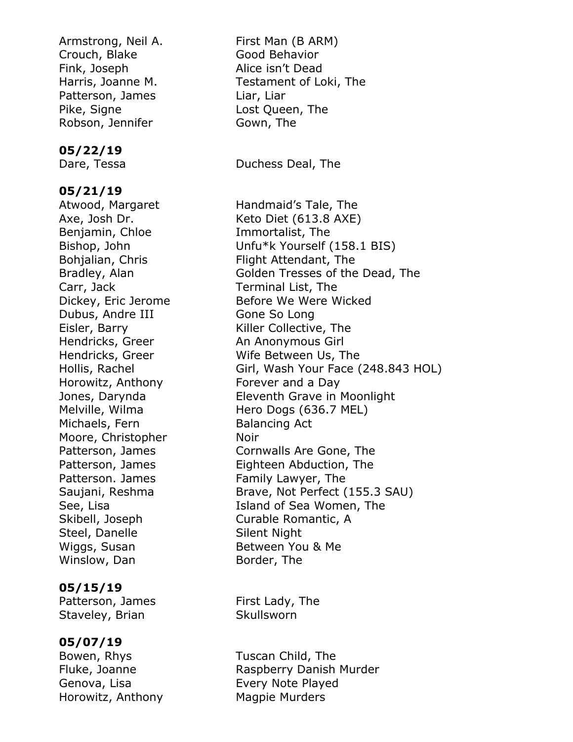Armstrong, Neil A. First Man (B ARM) Crouch, Blake Good Behavior Fink, Joseph Alice isn't Dead Patterson, James Liar, Liar Pike, Signe **Lost Queen**, The Robson, Jennifer **Gown**, The

#### **05/22/19**

#### **05/21/19**

Atwood, Margaret Handmaid's Tale, The Benjamin, Chloe **Immortalist**, The Carr, Jack Terminal List, The Dubus, Andre III Gone So Long Hendricks, Greer An Anonymous Girl Horowitz, Anthony Forever and a Day Michaels, Fern Balancing Act Moore, Christopher **Noir** Patterson. James Family Lawyer, The Steel, Danelle Silent Night Wiggs, Susan Between You & Me Winslow, Dan Border, The

#### **05/15/19**

Patterson, James First Lady, The Staveley, Brian Skullsworn

#### **05/07/19**

Genova, Lisa **Every Note Played** Horowitz, Anthony Magpie Murders

Harris, Joanne M. Testament of Loki, The

Dare, Tessa **Duchess Deal**, The

Axe, Josh Dr. Keto Diet (613.8 AXE) Bishop, John Unfu\*k Yourself (158.1 BIS) Bohjalian, Chris Flight Attendant, The Bradley, Alan Golden Tresses of the Dead, The Dickey, Eric Jerome Before We Were Wicked Eisler, Barry **Killer Collective, The** Hendricks, Greer Wife Between Us, The Hollis, Rachel Girl, Wash Your Face (248.843 HOL) Jones, Darynda Eleventh Grave in Moonlight Melville, Wilma Hero Dogs (636.7 MEL) Patterson, James Cornwalls Are Gone, The Patterson, James Eighteen Abduction, The Saujani, Reshma Brave, Not Perfect (155.3 SAU) See, Lisa **Island of Sea Women**, The Skibell, Joseph Curable Romantic, A

Bowen, Rhys Tuscan Child, The Fluke, Joanne **Raspberry Danish Murder**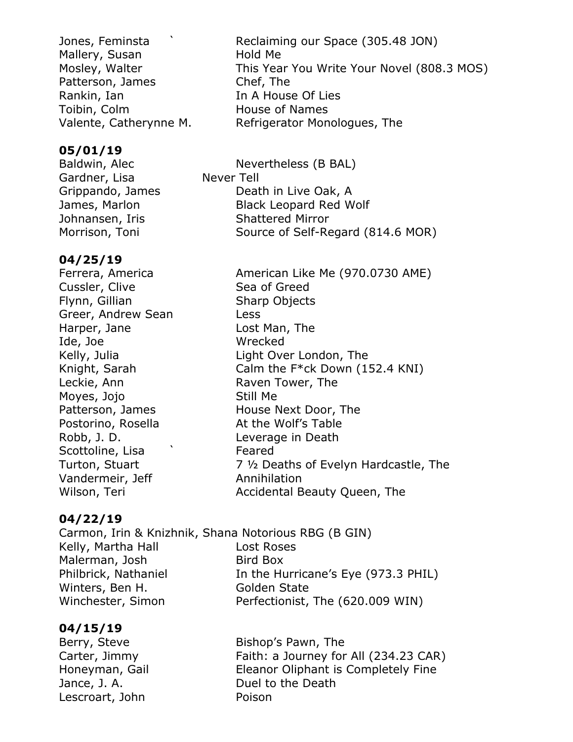Mallery, Susan Hold Me Patterson, James Chef, The Rankin, Ian In A House Of Lies Toibin, Colm **House of Names** 

#### **05/01/19**

Baldwin, Alec Nevertheless (B BAL) Gardner, Lisa Never Tell Grippando, James Death in Live Oak, A James, Marlon Black Leopard Red Wolf Johnansen, Iris Shattered Mirror Morrison, Toni Source of Self-Regard (814.6 MOR)

#### **04/25/19**

Ferrera, America **American Like Me (970.0730 AME)** Cussler, Clive Sea of Greed Flynn, Gillian Sharp Objects Greer, Andrew Sean Less Harper, Jane Lost Man, The Ide, Joe Wrecked Leckie, Ann **Raven Tower**, The Moyes, Jojo Still Me Postorino, Rosella At the Wolf's Table Robb, J. D. Leverage in Death Scottoline, Lisa  $\sim$  Feared Vandermeir, Jeff **Annihilation** 

Kelly, Julia **Light Over London**, The Knight, Sarah Calm the F<sup>\*</sup>ck Down (152.4 KNI) Patterson, James House Next Door, The Turton, Stuart 7 ½ Deaths of Evelyn Hardcastle, The Wilson, Teri **Accidental Beauty Queen, The** 

#### **04/22/19**

Carmon, Irin & Knizhnik, Shana Notorious RBG (B GIN) Kelly, Martha Hall **Lost Roses** Malerman, Josh Bird Box Philbrick, Nathaniel In the Hurricane's Eye (973.3 PHIL) Winters, Ben H. Golden State Winchester, Simon Perfectionist, The (620.009 WIN)

#### **04/15/19**

Berry, Steve Bishop's Pawn, The Carter, Jimmy Faith: a Journey for All (234.23 CAR) Honeyman, Gail Eleanor Oliphant is Completely Fine Jance, J. A. **Duel to the Death** Lescroart, John Poison

Jones, Feminsta ` Reclaiming our Space (305.48 JON) Mosley, Walter This Year You Write Your Novel (808.3 MOS) Valente, Catherynne M. Refrigerator Monologues, The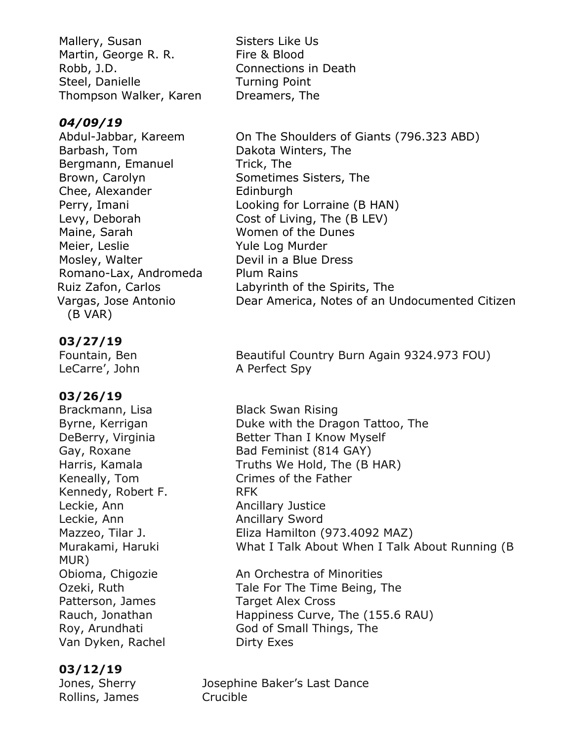Mallery, Susan Sisters Like Us Martin, George R. R. Fire & Blood Robb, J.D. Connections in Death Steel, Danielle **Turning Point** Thompson Walker, Karen Dreamers, The

#### *04/09/19*

Barbash, Tom Dakota Winters, The Bergmann, Emanuel Trick, The Brown, Carolyn Sometimes Sisters, The Chee, Alexander Edinburgh Maine, Sarah Women of the Dunes Meier, Leslie **Yule Log Murder** Mosley, Walter **Devil in a Blue Dress** Romano-Lax, Andromeda Plum Rains (B VAR)

#### **03/27/19**

LeCarre', John A Perfect Spy

## **03/26/19**

Brackmann, Lisa Black Swan Rising Kennedy, Robert F. KEK Leckie, Ann **Ancillary Justice** Leckie, Ann **Ancillary Sword** MUR) Patterson, James Target Alex Cross Van Dyken, Rachel Dirty Exes

#### **03/12/19**

Rollins, James Crucible

Abdul-Jabbar, Kareem On The Shoulders of Giants (796.323 ABD) Perry, Imani **Looking for Lorraine (B HAN)** Levy, Deborah Cost of Living, The (B LEV) Ruiz Zafon, Carlos Labyrinth of the Spirits, The Vargas, Jose Antonio Dear America, Notes of an Undocumented Citizen

Fountain, Ben Beautiful Country Burn Again 9324.973 FOU)

Byrne, Kerrigan **Duke with the Dragon Tattoo**, The DeBerry, Virginia Better Than I Know Myself Gay, Roxane Bad Feminist (814 GAY) Harris, Kamala Truths We Hold, The (B HAR) Keneally, Tom Crimes of the Father Mazzeo, Tilar J. Eliza Hamilton (973.4092 MAZ) Murakami, Haruki What I Talk About When I Talk About Running (B

Obioma, Chigozie **An Orchestra of Minorities** Ozeki, Ruth Tale For The Time Being, The Rauch, Jonathan Happiness Curve, The (155.6 RAU) Roy, Arundhati God of Small Things, The

Jones, Sherry Josephine Baker's Last Dance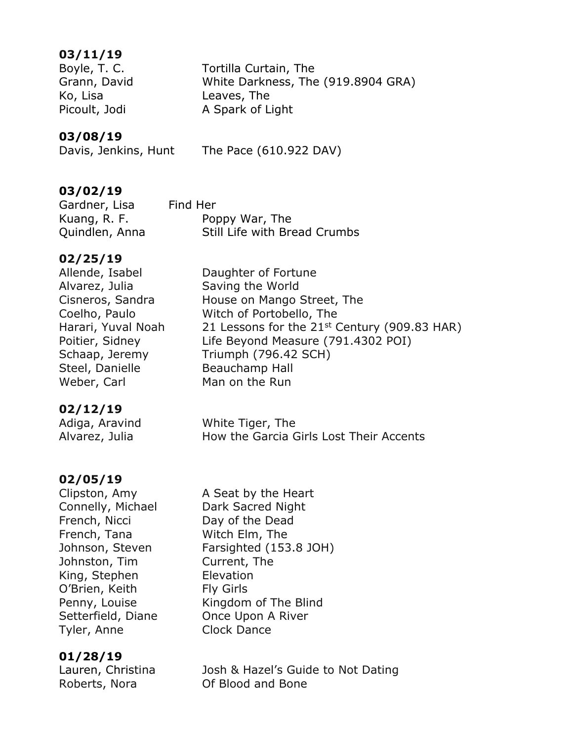#### **03/11/19**

Ko, Lisa Leaves, The

Boyle, T. C. Tortilla Curtain, The Grann, David White Darkness, The (919.8904 GRA) Picoult, Jodi A Spark of Light

#### **03/08/19**

Davis, Jenkins, Hunt The Pace (610.922 DAV)

#### **03/02/19**

Gardner, Lisa Find Her Kuang, R. F. Poppy War, The Quindlen, Anna Still Life with Bread Crumbs

#### **02/25/19**

Allende, Isabel **Daughter of Fortune** Alvarez, Julia Saving the World Cisneros, Sandra House on Mango Street, The Coelho, Paulo Witch of Portobello, The Harari, Yuval Noah 21 Lessons for the  $21<sup>st</sup>$  Century (909.83 HAR) Poitier, Sidney Life Beyond Measure (791.4302 POI) Schaap, Jeremy Triumph (796.42 SCH) Steel, Danielle Beauchamp Hall Weber, Carl Man on the Run

#### **02/12/19**

| Adiga, Aravind | White Tiger, The                        |
|----------------|-----------------------------------------|
| Alvarez, Julia | How the Garcia Girls Lost Their Accents |

#### **02/05/19**

Connelly, Michael Dark Sacred Night French, Nicci Day of the Dead French, Tana Witch Elm, The Johnston, Tim Current, The King, Stephen Elevation O'Brien, Keith Fly Girls Tyler, Anne Clock Dance

## **01/28/19**

Clipston, Amy A Seat by the Heart Johnson, Steven Farsighted (153.8 JOH) Penny, Louise Kingdom of The Blind Setterfield, Diane **Once Upon A River** 

Lauren, Christina Josh & Hazel's Guide to Not Dating Roberts, Nora Of Blood and Bone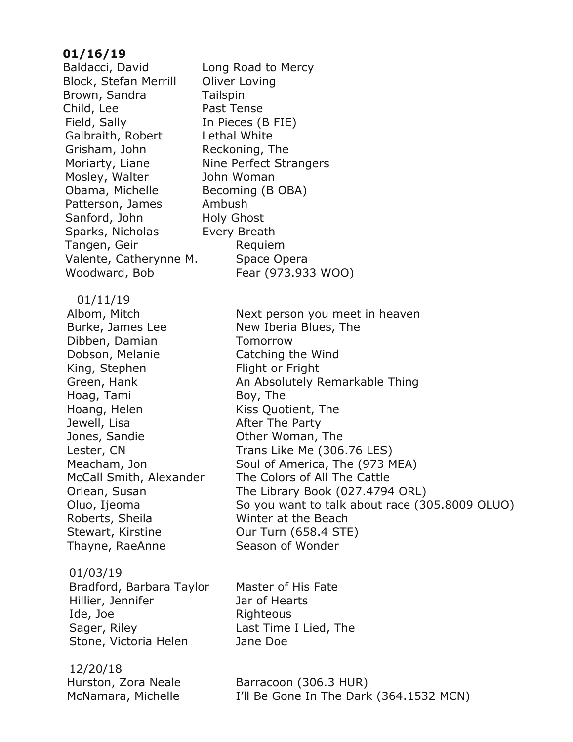#### **01/16/19**

Block, Stefan Merrill Oliver Loving Brown, Sandra Tailspin Child, Lee Past Tense Field, Sally **In Pieces (B FIE)**  Galbraith, Robert Lethal White Grisham, John Reckoning, The Moriarty, Liane Nine Perfect Strangers Mosley, Walter John Woman Obama, Michelle Becoming (B OBA) Patterson, James Ambush Sanford, John Holy Ghost Sparks, Nicholas Every Breath Tangen, Geir **Requiem** Valente, Catherynne M. Space Opera 01/11/19

Burke, James Lee New Iberia Blues, The Dibben, Damian Tomorrow Dobson, Melanie **Catching the Wind** King, Stephen Flight or Fright Hoag, Tami Boy, The Hoang, Helen Kiss Quotient, The Jewell, Lisa **After The Party** Jones, Sandie **Canadie Communism** Other Woman, The Roberts, Sheila Winter at the Beach Stewart, Kirstine **Our Turn (658.4 STE)** Thayne, RaeAnne Season of Wonder

 01/03/19 Bradford, Barbara Taylor Master of His Fate Hillier, Jennifer Jar of Hearts Ide, Joe Righteous Sager, Riley **Last Time I Lied, The** Stone, Victoria Helen Jane Doe

12/20/18

Baldacci, David Long Road to Mercy Woodward, Bob Fear (973.933 WOO)

Albom, Mitch Next person you meet in heaven Green, Hank **An Absolutely Remarkable Thing** Lester, CN Trans Like Me (306.76 LES) Meacham, Jon Soul of America, The (973 MEA) McCall Smith, Alexander The Colors of All The Cattle Orlean, Susan The Library Book (027.4794 ORL) Oluo, Ijeoma So you want to talk about race (305.8009 OLUO)

Hurston, Zora Neale Barracoon (306.3 HUR) McNamara, Michelle I'll Be Gone In The Dark (364.1532 MCN)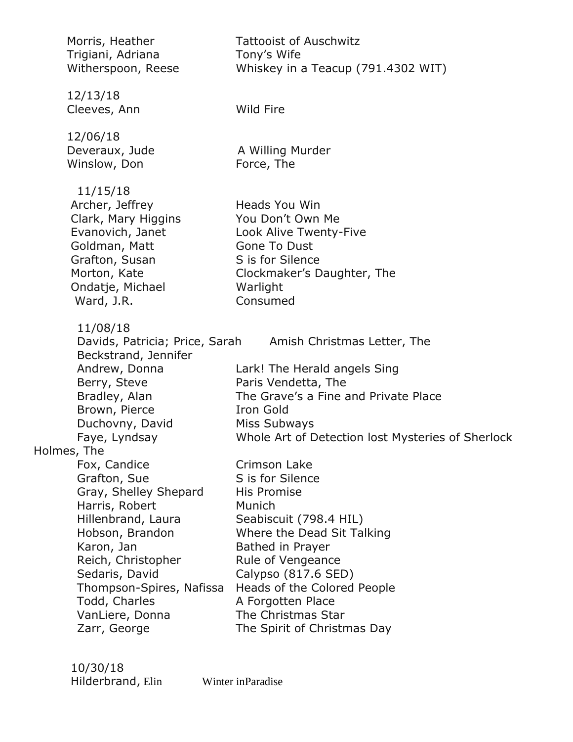|             | Morris, Heather                            | <b>Tattooist of Auschwitz</b>                            |
|-------------|--------------------------------------------|----------------------------------------------------------|
|             | Trigiani, Adriana<br>Witherspoon, Reese    | Tony's Wife<br>Whiskey in a Teacup (791.4302 WIT)        |
|             |                                            |                                                          |
|             | 12/13/18<br>Cleeves, Ann                   | Wild Fire                                                |
|             |                                            |                                                          |
|             | 12/06/18                                   |                                                          |
|             | Deveraux, Jude<br>Winslow, Don             | A Willing Murder<br>Force, The                           |
|             |                                            |                                                          |
|             | 11/15/18                                   |                                                          |
|             | Archer, Jeffrey<br>Clark, Mary Higgins     | Heads You Win<br>You Don't Own Me                        |
|             | Evanovich, Janet                           | Look Alive Twenty-Five                                   |
|             | Goldman, Matt                              | Gone To Dust                                             |
|             | Grafton, Susan                             | S is for Silence                                         |
|             | Morton, Kate                               | Clockmaker's Daughter, The                               |
|             | Ondatje, Michael<br>Ward, J.R.             | Warlight<br>Consumed                                     |
|             |                                            |                                                          |
|             | 11/08/18<br>Davids, Patricia; Price, Sarah | Amish Christmas Letter, The                              |
|             | Beckstrand, Jennifer                       |                                                          |
|             | Andrew, Donna                              | Lark! The Herald angels Sing                             |
|             | Berry, Steve                               | Paris Vendetta, The                                      |
|             | Bradley, Alan<br>Brown, Pierce             | The Grave's a Fine and Private Place<br><b>Iron Gold</b> |
|             | Duchovny, David                            | Miss Subways                                             |
|             | Faye, Lyndsay                              | Whole Art of Detection lost Mysteries of Sherlock        |
| Holmes, The |                                            |                                                          |
|             | Fox, Candice                               | Crimson Lake                                             |
|             | Grafton, Sue<br>Gray, Shelley Shepard      | S is for Silence<br>His Promise                          |
|             | Harris, Robert                             | Munich                                                   |
|             | Hillenbrand, Laura                         | Seabiscuit (798.4 HIL)                                   |
|             | Hobson, Brandon                            | Where the Dead Sit Talking                               |
|             | Karon, Jan                                 | Bathed in Prayer                                         |
|             | Reich, Christopher<br>Sedaris, David       | Rule of Vengeance<br>Calypso (817.6 SED)                 |
|             | Thompson-Spires, Nafissa                   | Heads of the Colored People                              |
|             | Todd, Charles                              | A Forgotten Place                                        |
|             | VanLiere, Donna                            | The Christmas Star                                       |
|             | Zarr, George                               | The Spirit of Christmas Day                              |
|             |                                            |                                                          |

 10/30/18 Hilderbrand, Elin Winter inParadise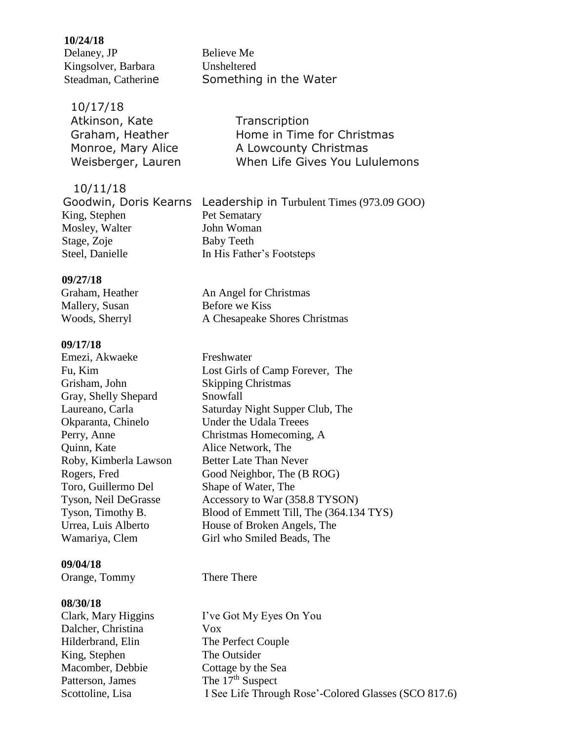## **10/24/18 Delaney, JP** Believe Me Kingsolver, Barbara Unsheltered

Steadman, Catherine Something in the Water

 10/11/18 King, Stephen Pet Sematary Mosley, Walter John Woman Stage, Zoje Baby Teeth Steel, Danielle In His Father's Footsteps

**Transcription** Home in Time for Christmas A Lowcounty Christmas When Life Gives You Lululemons

Goodwin, Doris Kearns Leadership in Turbulent Times (973.09 GOO)

#### **09/27/18**

Mallery, Susan Before we Kiss

#### **09/17/18**

**Emezi, Akwaeke** Freshwater Grisham, John Skipping Christmas Gray, Shelly Shepard Snowfall Okparanta, Chinelo Under the Udala Treees Quinn, Kate Alice Network, The Roby, Kimberla Lawson Better Late Than Never Toro, Guillermo Del Shape of Water, The

#### **09/04/18**

**Orange, Tommy There There** 

#### **08/30/18**

 Dalcher, Christina Vox Hilderbrand, Elin The Perfect Couple King, Stephen The Outsider Macomber, Debbie Cottage by the Sea Patterson, James The 17<sup>th</sup> Suspect

Graham, Heather An Angel for Christmas Woods, Sherryl A Chesapeake Shores Christmas

 Fu, Kim Lost Girls of Camp Forever, The Laureano, Carla Saturday Night Supper Club, The Perry, Anne Christmas Homecoming, A Rogers, Fred Good Neighbor, The (B ROG) Tyson, Neil DeGrasse Accessory to War (358.8 TYSON) Tyson, Timothy B. Blood of Emmett Till, The (364.134 TYS) Urrea, Luis Alberto House of Broken Angels, The Wamariya, Clem Girl who Smiled Beads, The

 Clark, Mary Higgins I've Got My Eyes On You Scottoline, Lisa I See Life Through Rose'-Colored Glasses (SCO 817.6)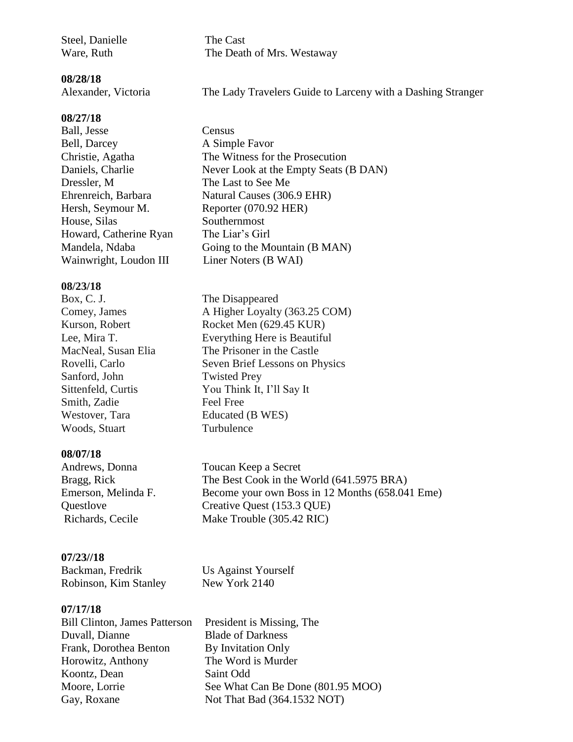Steel, Danielle The Cast

Ware, Ruth The Death of Mrs. Westaway

**08/28/18**

Alexander, Victoria The Lady Travelers Guide to Larceny with a Dashing Stranger

#### **08/27/18**

**Ball, Jesse Census** Bell, Darcey A Simple Favor Dressler, M The Last to See Me Hersh, Seymour M. Reporter (070.92 HER) House, Silas Southernmost Howard, Catherine Ryan The Liar's Girl Wainwright, Loudon III Liner Noters (B WAI)

#### **08/23/18**

Box, C. J. The Disappeared Sanford, John Twisted Prey Smith, Zadie Free Free Westover, Tara Educated (B WES) Woods, Stuart Turbulence

#### **08/07/18**

#### **07/23//18**

**Backman, Fredrik Us Against Yourself** Robinson, Kim Stanley New York 2140

#### **07/17/18**

 Duvall, Dianne Blade of Darkness Frank, Dorothea Benton By Invitation Only Horowitz, Anthony The Word is Murder Koontz, Dean Saint Odd

 Christie, Agatha The Witness for the Prosecution Daniels, Charlie Never Look at the Empty Seats (B DAN) Ehrenreich, Barbara Natural Causes (306.9 EHR) Mandela, Ndaba Going to the Mountain (B MAN)

Comey, James A Higher Loyalty (363.25 COM) Kurson, Robert Rocket Men (629.45 KUR) Lee, Mira T. Everything Here is Beautiful MacNeal, Susan Elia The Prisoner in the Castle Rovelli, Carlo Seven Brief Lessons on Physics Sittenfeld, Curtis You Think It, I'll Say It

Andrews, Donna Toucan Keep a Secret Bragg, Rick The Best Cook in the World (641.5975 BRA) Emerson, Melinda F. Become your own Boss in 12 Months (658.041 Eme) Questlove Creative Quest (153.3 QUE) Richards, Cecile Make Trouble (305.42 RIC)

Bill Clinton, James Patterson President is Missing, The Moore, Lorrie See What Can Be Done (801.95 MOO) Gay, Roxane Not That Bad (364.1532 NOT)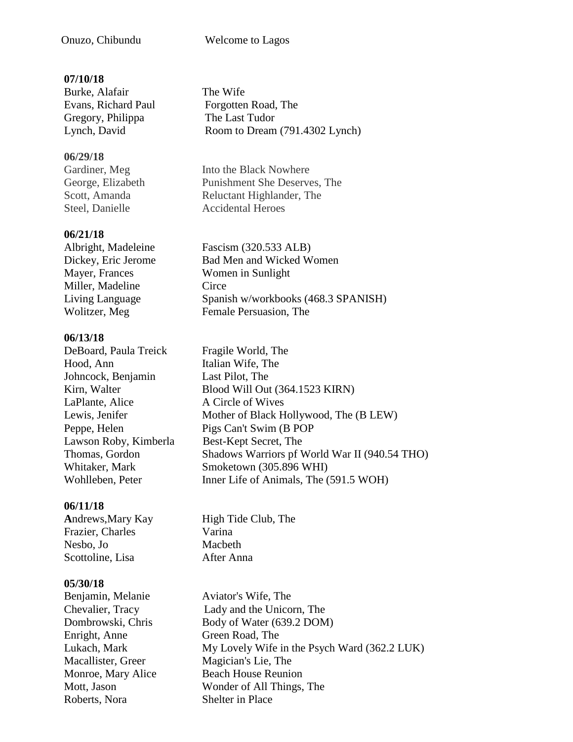#### Onuzo, Chibundu Welcome to Lagos

#### **07/10/18**

**Burke, Alafair** The Wife Gregory, Philippa The Last Tudor

#### **06/29/18**

#### **06/21/18**

Miller, Madeline Circe

#### **06/13/18**

DeBoard, Paula Treick Fragile World, The Hood, Ann Italian Wife, The Johncock, Benjamin Last Pilot, The LaPlante, Alice A Circle of Wives Lawson Roby, Kimberla Best-Kept Secret, The

#### **06/11/18**

Frazier, Charles Varina Nesbo, Jo Macbeth Scottoline, Lisa After Anna

#### **05/30/18**

 Enright, Anne Green Road, The Macallister, Greer Magician's Lie, The Roberts, Nora Shelter in Place

 Evans, Richard Paul Forgotten Road, The Lynch, David Room to Dream (791.4302 Lynch)

**Gardiner, Meg** Into the Black Nowhere George, Elizabeth Punishment She Deserves, The Scott, Amanda Reluctant Highlander, The Steel, Danielle **Accidental Heroes** 

Albright, Madeleine Fascism (320.533 ALB) Dickey, Eric Jerome Bad Men and Wicked Women Mayer, Frances Women in Sunlight Living Language Spanish w/workbooks (468.3 SPANISH) Wolitzer, Meg Female Persuasion, The

Kirn. Walter Blood Will Out (364.1523 KIRN) Lewis, Jenifer Mother of Black Hollywood, The (B LEW) Peppe, Helen Pigs Can't Swim (B POP Thomas, Gordon Shadows Warriors pf World War II (940.54 THO) Whitaker, Mark Smoketown (305.896 WHI) Wohlleben, Peter Inner Life of Animals, The (591.5 WOH)

Andrews, Mary Kay High Tide Club, The

**Benjamin, Melanie Aviator's Wife, The**  Chevalier, Tracy Lady and the Unicorn, The Dombrowski, Chris Body of Water (639.2 DOM) Lukach, Mark My Lovely Wife in the Psych Ward (362.2 LUK) Monroe, Mary Alice Beach House Reunion Mott, Jason Wonder of All Things, The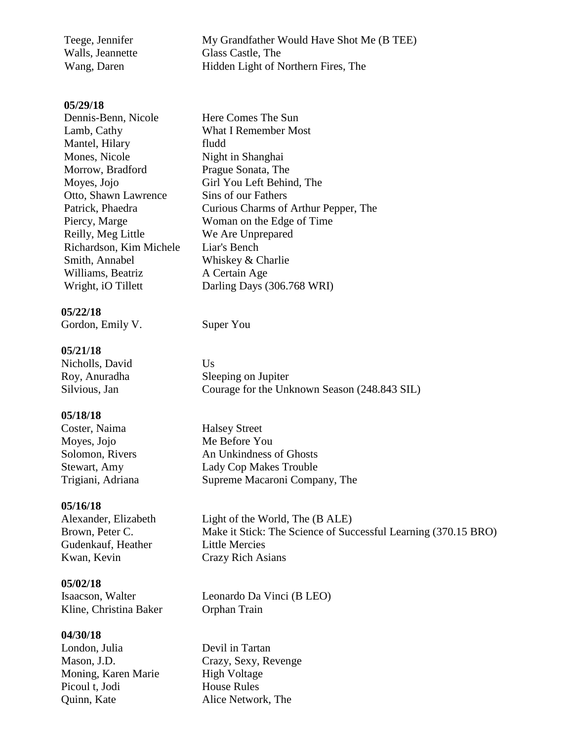| Teege, Jennifer  | My Grandfather Would Have Shot Me (B TEE) |
|------------------|-------------------------------------------|
| Walls, Jeannette | Glass Castle, The                         |
| Wang, Daren      | Hidden Light of Northern Fires, The       |

#### **05/29/18**

| Dennis-Benn, Nicole     | Here Comes The Sun                   |
|-------------------------|--------------------------------------|
| Lamb, Cathy             | <b>What I Remember Most</b>          |
| Mantel, Hilary          | fludd                                |
| Mones, Nicole           | Night in Shanghai                    |
| Morrow, Bradford        | Prague Sonata, The                   |
| Moyes, Jojo             | Girl You Left Behind, The            |
| Otto, Shawn Lawrence    | Sins of our Fathers                  |
| Patrick, Phaedra        | Curious Charms of Arthur Pepper, The |
| Piercy, Marge           | Woman on the Edge of Time            |
| Reilly, Meg Little      | We Are Unprepared                    |
| Richardson, Kim Michele | Liar's Bench                         |
| Smith, Annabel          | Whiskey & Charlie                    |
| Williams, Beatriz       | A Certain Age                        |
| Wright, iO Tillett      | Darling Days (306.768 WRI)           |
|                         |                                      |

#### **05/22/18**

Gordon, Emily V. Super You

#### **05/21/18**

Nicholls, David Us

#### **05/18/18**

**Coster, Naima** Halsey Street Moyes, Jojo Me Before You

#### **05/16/18**

 Gudenkauf, Heather Little Mercies Kwan, Kevin Crazy Rich Asians

#### **05/02/18**

Kline, Christina Baker Orphan Train

#### **04/30/18**

London, Julia Devil in Tartan Moning, Karen Marie High Voltage Picoul t, Jodi House Rules Quinn, Kate Alice Network, The

 Roy, Anuradha Sleeping on Jupiter Silvious, Jan Courage for the Unknown Season (248.843 SIL)

Solomon, Rivers An Unkindness of Ghosts Stewart, Amy Lady Cop Makes Trouble Trigiani, Adriana Supreme Macaroni Company, The

Alexander, Elizabeth Light of the World, The (B ALE) Brown, Peter C. Make it Stick: The Science of Successful Learning (370.15 BRO)

Isaacson, Walter Leonardo Da Vinci (B LEO)

Mason, J.D. Crazy, Sexy, Revenge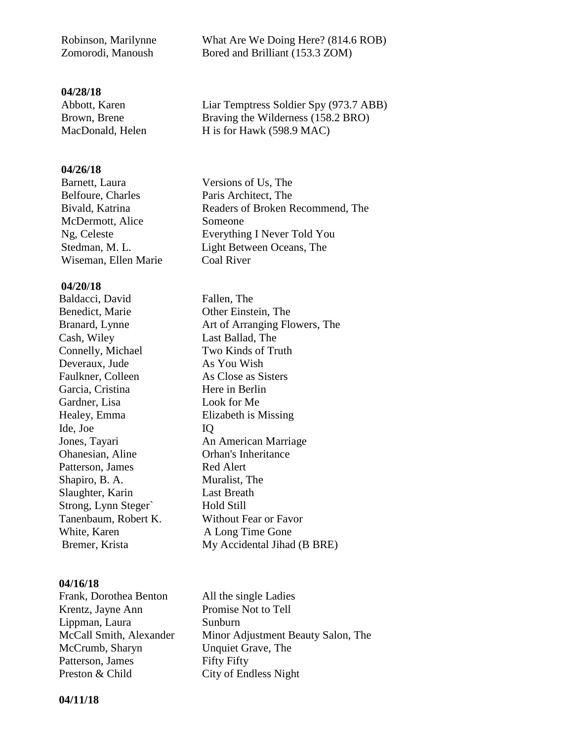#### **04/28/18**

Abbott, Karen Liar Temptress Soldier Spy (973.7 ABB) Brown, Brene Braving the Wilderness (158.2 BRO) MacDonald, Helen H is for Hawk (598.9 MAC)

#### **04/26/18**

Belfoure, Charles Paris Architect, The Bivald, Katrina Readers of Broken Recommend, The McDermott, Alice Someone Ng, Celeste Everything I Never Told You Stedman, M. L. Light Between Oceans, The Wiseman, Ellen Marie Coal River

#### **04/20/18**

**Baldacci, David** Fallen, The Benedict, Marie Other Einstein, The Cash, Wiley Last Ballad, The Connelly, Michael Two Kinds of Truth Deveraux, Jude As You Wish Faulkner, Colleen As Close as Sisters Garcia, Cristina Here in Berlin Gardner, Lisa Look for Me Healey, Emma Elizabeth is Missing Ide, Joe IQ Ohanesian, Aline Orhan's Inheritance Patterson, James Red Alert Shapiro, B. A. Muralist, The Slaughter, Karin Last Breath Strong, Lynn Steger` Hold Still Tanenbaum, Robert K. Without Fear or Favor White, Karen A Long Time Gone

#### **04/16/18**

| Frank, Dorothea Benton  | All the single Ladies              |
|-------------------------|------------------------------------|
| Krentz, Jayne Ann       | Promise Not to Tell                |
| Lippman, Laura          | Sunburn                            |
| McCall Smith, Alexander | Minor Adjustment Beauty Salon, The |
| McCrumb, Sharyn         | Unquiet Grave, The                 |
| Patterson, James        | <b>Fifty Fifty</b>                 |
| Preston & Child         | City of Endless Night              |
|                         |                                    |

**Barnett, Laura** Versions of Us, The

Branard, Lynne **Art of Arranging Flowers**, The Jones, Tayari **An American Marriage** Bremer, Krista My Accidental Jihad (B BRE)

 **04/11/18**

 Robinson, Marilynne What Are We Doing Here? (814.6 ROB) Zomorodi, Manoush Bored and Brilliant (153.3 ZOM)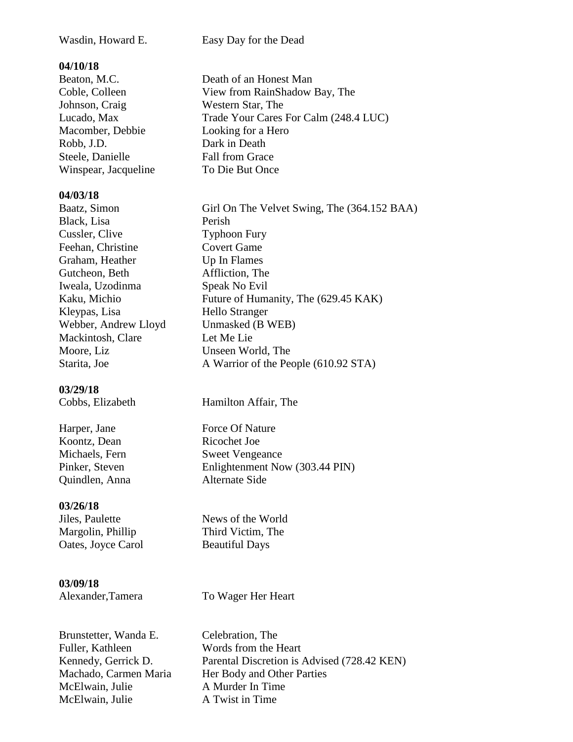Wasdin, Howard E. Easy Day for the Dead

#### **04/10/18**

| Beaton, M.C.         | Death of an Honest Man                |
|----------------------|---------------------------------------|
| Coble, Colleen       | View from RainShadow Bay, The         |
| Johnson, Craig       | Western Star, The                     |
| Lucado, Max          | Trade Your Cares For Calm (248.4 LUC) |
| Macomber, Debbie     | Looking for a Hero                    |
| Robb, J.D.           | Dark in Death                         |
| Steele, Danielle     | <b>Fall from Grace</b>                |
| Winspear, Jacqueline | To Die But Once                       |
|                      |                                       |

#### **04/03/18**

Baatz, Simon Girl On The Velvet Swing, The (364.152 BAA) Black, Lisa Perish Cussler, Clive Typhoon Fury Feehan, Christine Covert Game Graham, Heather Up In Flames Gutcheon, Beth Affliction, The Iweala, Uzodinma Speak No Evil Kaku, Michio Future of Humanity, The (629.45 KAK) Kleypas, Lisa Hello Stranger Webber, Andrew Lloyd Unmasked (B WEB) Mackintosh, Clare Let Me Lie Moore, Liz Unseen World, The Starita, Joe A Warrior of the People (610.92 STA)

#### **03/29/18**

Harper, Jane Force Of Nature Koontz. Dean Ricochet Joe Quindlen, Anna Alternate Side

#### **03/26/18**

**Jiles, Paulette** News of the World Oates, Joyce Carol Beautiful Days

 **03/09/18**

Alexander, Tamera To Wager Her Heart

Brunstetter, Wanda E. Celebration, The Fuller, Kathleen Words from the Heart McElwain, Julie A Murder In Time McElwain, Julie **A** Twist in Time

Kennedy, Gerrick D. Parental Discretion is Advised (728.42 KEN) Machado, Carmen Maria Her Body and Other Parties

**Cobbs, Elizabeth** Hamilton Affair, The

Michaels, Fern Sweet Vengeance Pinker, Steven Enlightenment Now (303.44 PIN)

Margolin, Phillip Third Victim, The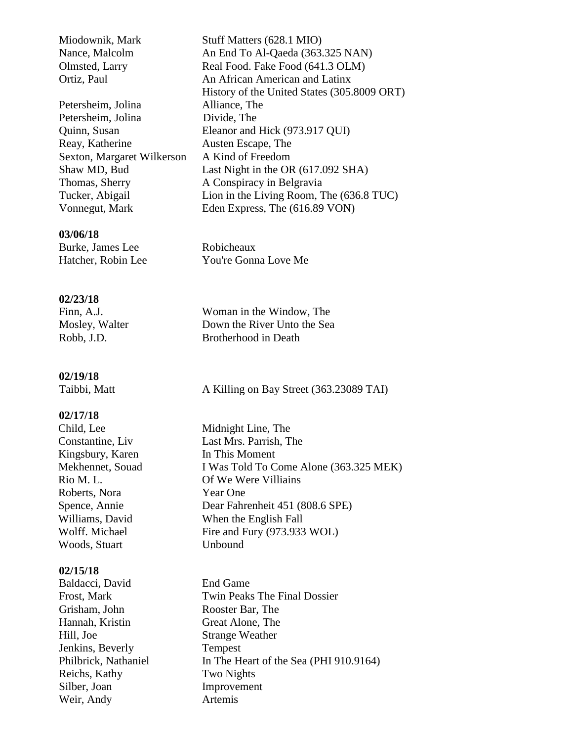Petersheim, Jolina Alliance, The Petersheim, Jolina Divide, The Reay, Katherine Austen Escape, The Sexton, Margaret Wilkerson A Kind of Freedom Thomas, Sherry A Conspiracy in Belgravia Vonnegut, Mark Eden Express, The (616.89 VON)

#### **03/06/18**

**Burke, James Lee Robicheaux** 

#### **02/23/18**

#### **02/19/18**

#### **02/17/18**

Kingsbury, Karen In This Moment Roberts, Nora Year One Woods, Stuart **Unbound** 

#### **02/15/18**

**Baldacci, David** End Game Grisham, John Rooster Bar, The Hannah, Kristin Great Alone, The Hill, Joe Strange Weather Jenkins, Beverly Tempest Reichs, Kathy Two Nights Silber, Joan Improvement Weir, Andy **Artemis** 

Miodownik, Mark Stuff Matters (628.1 MIO) Nance, Malcolm An End To Al-Qaeda (363.325 NAN) Olmsted, Larry Real Food. Fake Food (641.3 OLM) Ortiz, Paul An African American and Latinx History of the United States (305.8009 ORT) Quinn, Susan Eleanor and Hick (973.917 QUI) Shaw MD, Bud Last Night in the OR (617.092 SHA) Tucker, Abigail Lion in the Living Room, The (636.8 TUC)

Hatcher, Robin Lee You're Gonna Love Me

Finn, A.J. Woman in the Window, The Mosley, Walter Down the River Unto the Sea Robb, J.D. Brotherhood in Death

Taibbi, Matt A Killing on Bay Street (363.23089 TAI)

Child, Lee Midnight Line, The Constantine, Liv Last Mrs. Parrish, The Mekhennet, Souad I Was Told To Come Alone (363.325 MEK) Rio M. L. Of We Were Villiains Spence, Annie Dear Fahrenheit 451 (808.6 SPE) Williams, David When the English Fall Wolff. Michael Fire and Fury (973.933 WOL)

Frost, Mark Twin Peaks The Final Dossier Philbrick, Nathaniel In The Heart of the Sea (PHI 910.9164)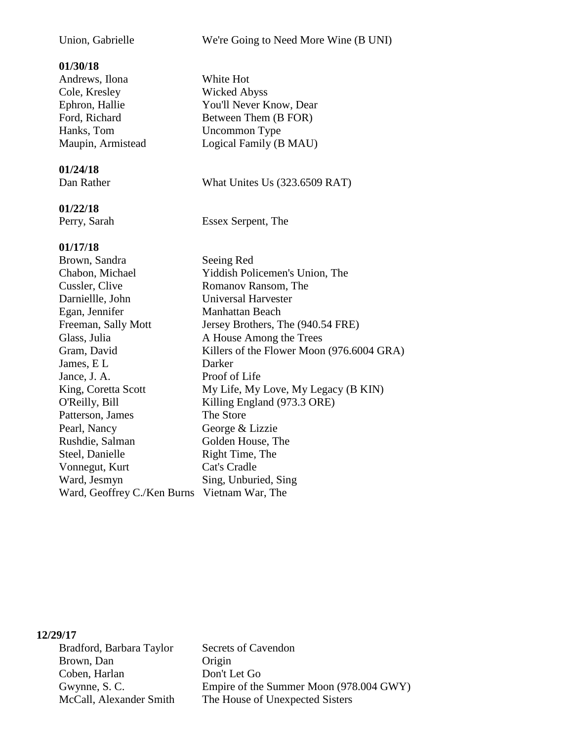#### **01/30/18**

 Andrews, Ilona White Hot Cole, Kresley Wicked Abyss Hanks, Tom Uncommon Type

#### **01/24/18**

#### **01/22/18**

#### **01/17/18**

**Brown, Sandra Seeing Red**  Chabon, Michael Yiddish Policemen's Union, The Cussler, Clive Romanov Ransom, The Darniellle, John Universal Harvester Egan, Jennifer Manhattan Beach Freeman, Sally Mott Jersey Brothers, The (940.54 FRE) Glass, Julia A House Among the Trees Gram, David Killers of the Flower Moon (976.6004 GRA) James, E L Darker Jance, J. A. Proof of Life King, Coretta Scott My Life, My Love, My Legacy (B KIN) O'Reilly, Bill Killing England (973.3 ORE) Patterson, James The Store Pearl, Nancy George & Lizzie Rushdie, Salman Golden House, The Steel, Danielle Right Time, The Vonnegut, Kurt Cat's Cradle Ward, Jesmyn Sing, Unburied, Sing Ward, Geoffrey C./Ken Burns Vietnam War, The

#### **12/29/17**

| Bradford, Barbara Taylor | Secrets of Cavendon                     |
|--------------------------|-----------------------------------------|
| Brown, Dan               | Origin                                  |
| Coben, Harlan            | Don't Let Go                            |
| Gwynne, S.C.             | Empire of the Summer Moon (978.004 GWY) |
| McCall, Alexander Smith  | The House of Unexpected Sisters         |

Union, Gabrielle We're Going to Need More Wine (B UNI)

Ephron, Hallie You'll Never Know, Dear Ford, Richard Between Them (B FOR) Maupin, Armistead Logical Family (B MAU)

#### Dan Rather What Unites Us (323.6509 RAT)

Perry, Sarah Essex Serpent, The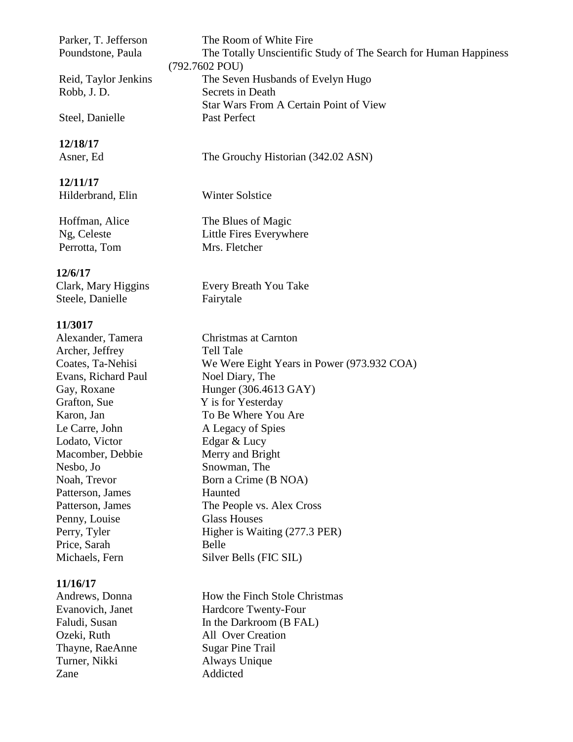**12/18/17**

 **12/11/17 Hilderbrand, Elin** Winter Solstice

Perrotta, Tom Mrs. Fletcher

#### **12/6/17**

Steele, Danielle Fairytale

#### **11/3017**

 Archer, Jeffrey Tell Tale Evans, Richard Paul Noel Diary, The Grafton, Sue Y is for Yesterday Le Carre, John A Legacy of Spies Lodato, Victor Edgar & Lucy Macomber, Debbie Merry and Bright Nesbo, Jo Snowman, The Patterson, James Haunted Penny, Louise Glass Houses Price, Sarah Belle

#### **11/16/17**

Thayne, RaeAnne Sugar Pine Trail Turner, Nikki Always Unique Zane Addicted

Parker, T. Jefferson The Room of White Fire Poundstone, Paula The Totally Unscientific Study of The Search for Human Happiness (792.7602 POU) Reid, Taylor Jenkins The Seven Husbands of Evelyn Hugo Robb, J. D. Secrets in Death Star Wars From A Certain Point of View Steel, Danielle Past Perfect

Asner, Ed The Grouchy Historian (342.02 ASN)

Hoffman, Alice The Blues of Magic Ng, Celeste Little Fires Everywhere

Clark, Mary Higgins Every Breath You Take

Alexander, Tamera Christmas at Carnton Coates, Ta-Nehisi We Were Eight Years in Power (973.932 COA) Gay, Roxane Hunger (306.4613 GAY) Karon, Jan To Be Where You Are Noah, Trevor Born a Crime (B NOA) Patterson, James The People vs. Alex Cross Perry, Tyler Higher is Waiting (277.3 PER) Michaels, Fern Silver Bells (FIC SIL)

Andrews, Donna How the Finch Stole Christmas Evanovich, Janet Hardcore Twenty-Four Faludi, Susan In the Darkroom (B FAL) Ozeki, Ruth All Over Creation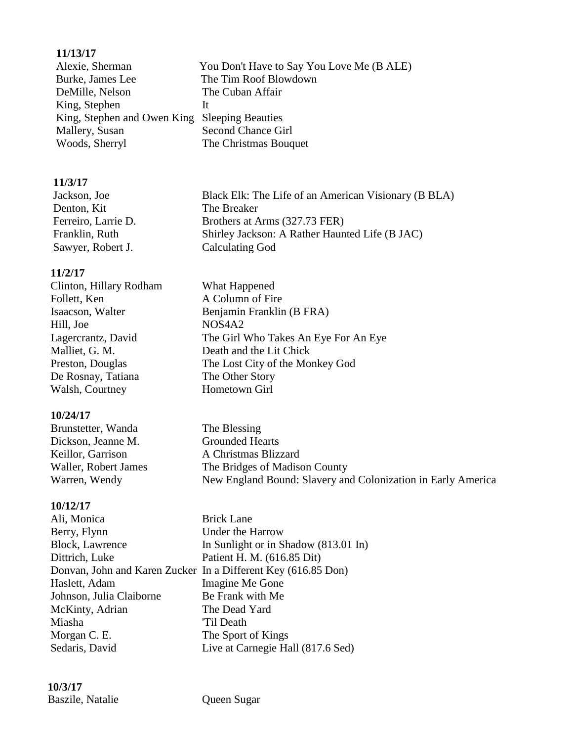#### **11/13/17**

Alexie, Sherman You Don't Have to Say You Love Me (B ALE) Burke, James Lee The Tim Roof Blowdown DeMille, Nelson The Cuban Affair King, Stephen It King, Stephen and Owen King Sleeping Beauties Mallery, Susan Second Chance Girl Woods, Sherryl The Christmas Bouquet

#### **11/3/17**

| Jackson, Joe        | Black Elk: The Life of an American Visionary (B BLA) |
|---------------------|------------------------------------------------------|
| Denton, Kit         | The Breaker                                          |
| Ferreiro, Larrie D. | Brothers at Arms (327.73 FER)                        |
| Franklin, Ruth      | Shirley Jackson: A Rather Haunted Life (B JAC)       |
| Sawyer, Robert J.   | Calculating God                                      |
|                     |                                                      |

A Column of Fire

Benjamin Franklin (B FRA)

Death and the Lit Chick

The Girl Who Takes An Eye For An Eye

The Lost City of the Monkey God

#### **11/2/17**

| Clinton, Hillary Rodham | What Happened    |
|-------------------------|------------------|
| Follett, Ken            | A Column of Fir  |
| Isaacson, Walter        | Benjamin Frankl  |
| Hill, Joe               | NOS4A2           |
| Lagercrantz, David      | The Girl Who Ta  |
| Malliet, G. M.          | Death and the Li |
| Preston, Douglas        | The Lost City of |
| De Rosnay, Tatiana      | The Other Story  |
| Walsh, Courtney         | Hometown Girl    |

#### **10/24/17**

| Brunstetter, Wanda   | The Blessing                                                 |
|----------------------|--------------------------------------------------------------|
| Dickson, Jeanne M.   | <b>Grounded Hearts</b>                                       |
| Keillor, Garrison    | A Christmas Blizzard                                         |
| Waller, Robert James | The Bridges of Madison County                                |
| Warren, Wendy        | New England Bound: Slavery and Colonization in Early America |

#### **10/12/17**

Ali, Monica Brick Lane Berry, Flynn Under the Harrow Block, Lawrence In Sunlight or in Shadow (813.01 In) Dittrich, Luke Patient H. M. (616.85 Dit) Donvan, John and Karen Zucker In a Different Key (616.85 Don) Haslett, Adam Imagine Me Gone Johnson, Julia Claiborne Be Frank with Me McKinty, Adrian The Dead Yard Miasha 'Til Death Morgan C. E. The Sport of Kings Sedaris, David Live at Carnegie Hall (817.6 Sed)

 **10/3/17 Baszile, Natalie Cueen Sugar**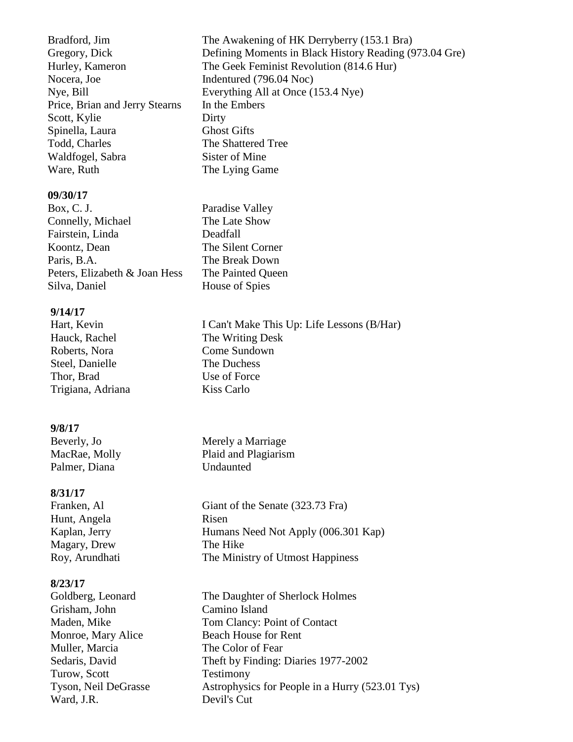Nocera, Joe Indentured (796.04 Noc) Price, Brian and Jerry Stearns In the Embers Scott, Kylie Dirty Spinella, Laura Ghost Gifts Todd, Charles The Shattered Tree Waldfogel, Sabra Sister of Mine Ware, Ruth The Lying Game

#### **09/30/17**

Box, C. J. Paradise Valley Connelly, Michael The Late Show Fairstein, Linda Deadfall Koontz, Dean The Silent Corner Paris, B.A. The Break Down Peters, Elizabeth & Joan Hess The Painted Queen Silva, Daniel House of Spies

#### **9/14/17**

Roberts, Nora Come Sundown Steel, Danielle The Duchess Thor, Brad Use of Force Trigiana, Adriana Kiss Carlo

#### **9/8/17**

Palmer, Diana Undaunted

#### **8/31/17**

Hunt, Angela Risen Magary, Drew The Hike

#### **8/23/17**

 Grisham, John Camino Island Muller, Marcia The Color of Fear Turow, Scott Testimony Ward, J.R. Devil's Cut

Bradford, Jim The Awakening of HK Derryberry (153.1 Bra) Gregory, Dick Defining Moments in Black History Reading (973.04 Gre) Hurley, Kameron The Geek Feminist Revolution (814.6 Hur) Nye, Bill Everything All at Once (153.4 Nye)

Hart, Kevin I Can't Make This Up: Life Lessons (B/Har) Hauck, Rachel The Writing Desk

**Beverly, Jo** Merely a Marriage MacRae, Molly Plaid and Plagiarism

Franken, Al Giant of the Senate (323.73 Fra) Kaplan, Jerry Humans Need Not Apply (006.301 Kap) Roy, Arundhati The Ministry of Utmost Happiness

Goldberg, Leonard The Daughter of Sherlock Holmes Maden, Mike Tom Clancy: Point of Contact Monroe, Mary Alice Beach House for Rent Sedaris, David Theft by Finding: Diaries 1977-2002 Tyson, Neil DeGrasse Astrophysics for People in a Hurry (523.01 Tys)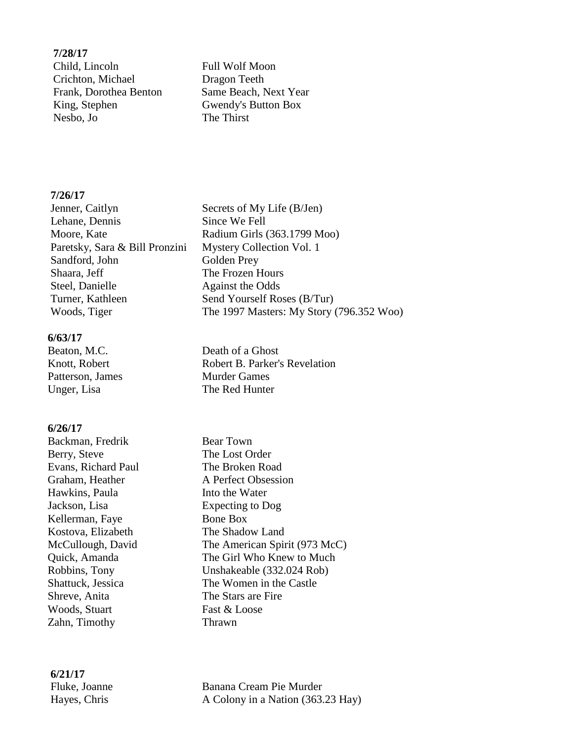#### **7/28/17** *Child, Lincoln* Full Wolf Moon Crichton, Michael Dragon Teeth Frank, Dorothea Benton Same Beach, Next Year King, Stephen Gwendy's Button Box Nesbo, Jo The Thirst

#### **7/26/17**

**Jenner, Caitlyn** Secrets of My Life (B/Jen) Lehane, Dennis Since We Fell Moore, Kate Radium Girls (363.1799 Moo) Paretsky, Sara & Bill Pronzini Mystery Collection Vol. 1 Sandford, John Golden Prey Shaara, Jeff The Frozen Hours Steel, Danielle Against the Odds Turner, Kathleen Send Yourself Roses (B/Tur) Woods, Tiger The 1997 Masters: My Story (796.352 Woo)

#### **6/63/17**

Patterson, James Murder Games Unger, Lisa The Red Hunter

#### **6/26/17**

**Backman, Fredrik Bear Town** Berry, Steve The Lost Order Evans, Richard Paul The Broken Road Hawkins, Paula Into the Water Jackson, Lisa Expecting to Dog Kellerman, Faye Bone Box Kostova, Elizabeth The Shadow Land Shreve, Anita The Stars are Fire Woods, Stuart Fast & Loose Zahn, Timothy Thrawn

**Beaton, M.C.** Death of a Ghost Knott, Robert **Robert B. Parker's Revelation** 

Graham, Heather A Perfect Obsession McCullough, David The American Spirit (973 McC) Quick, Amanda The Girl Who Knew to Much Robbins, Tony Unshakeable (332.024 Rob) Shattuck, Jessica The Women in the Castle

**6/21/17**

**Fluke, Joanne Banana Cream Pie Murder** Hayes, Chris A Colony in a Nation (363.23 Hay)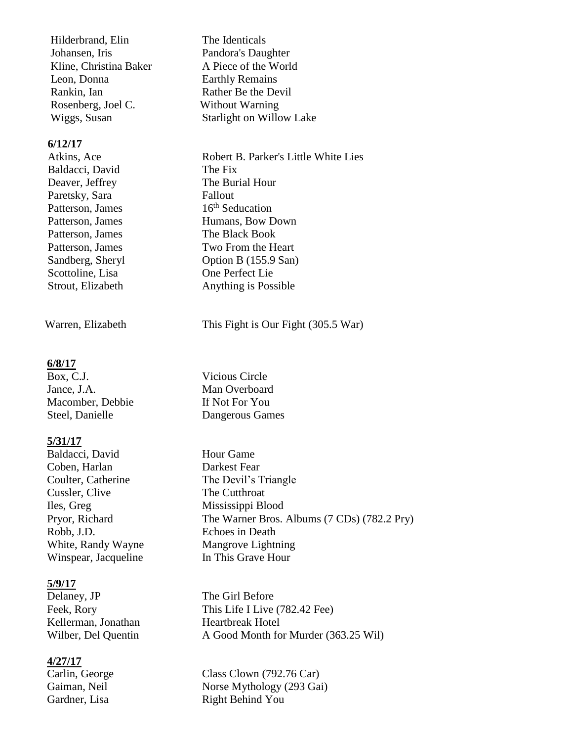Hilderbrand, Elin The Identicals Johansen, Iris Pandora's Daughter Kline, Christina Baker A Piece of the World Leon, Donna Earthly Remains Rankin, Ian Rather Be the Devil Rosenberg, Joel C. Without Warning

#### **6/12/17**

Baldacci, David The Fix Paretsky, Sara Fallout Patterson, James 16<sup>th</sup> Seducation Patterson, James The Black Book Scottoline, Lisa One Perfect Lie

#### **6/8/17**

Jance, J.A. Man Overboard Macomber, Debbie If Not For You Steel, Danielle Dangerous Games

#### **5/31/17**

Baldacci, David Hour Game Coben, Harlan Darkest Fear Coulter, Catherine The Devil's Triangle Cussler, Clive The Cutthroat Iles, Greg Mississippi Blood Robb, J.D. Echoes in Death White, Randy Wayne Mangrove Lightning Winspear, Jacqueline In This Grave Hour

#### **5/9/17**

Delaney, JP The Girl Before Kellerman, Jonathan Heartbreak Hotel

#### **4/27/17**

Wiggs, Susan Starlight on Willow Lake

Atkins, Ace Robert B. Parker's Little White Lies Deaver, Jeffrey The Burial Hour Patterson, James Humans, Bow Down Patterson, James Two From the Heart Sandberg, Sheryl Option B (155.9 San) Strout, Elizabeth Anything is Possible

Warren, Elizabeth This Fight is Our Fight (305.5 War)

Box, C.J. Vicious Circle

Pryor, Richard The Warner Bros. Albums (7 CDs) (782.2 Pry)

Feek, Rory This Life I Live (782.42 Fee) Wilber, Del Quentin A Good Month for Murder (363.25 Wil)

Carlin, George Class Clown (792.76 Car) Gaiman, Neil Norse Mythology (293 Gai) Gardner, Lisa Right Behind You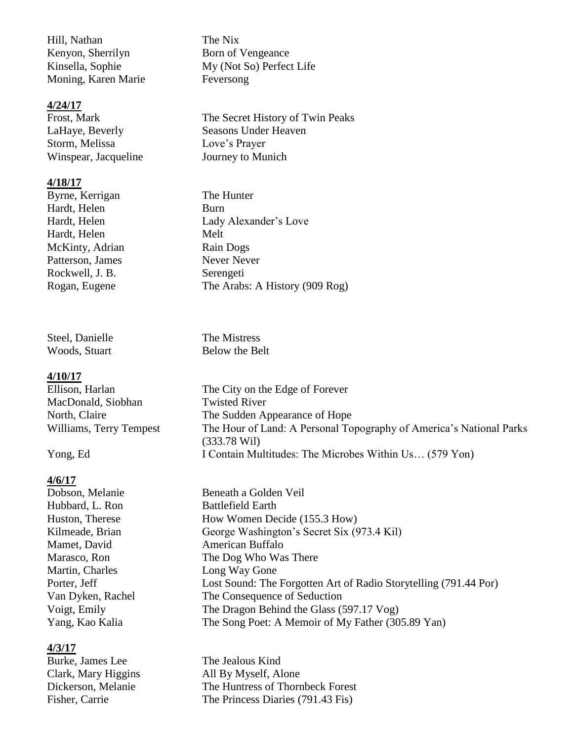Hill, Nathan The Nix Kenyon, Sherrilyn Born of Vengeance Moning, Karen Marie Feversong

#### **4/24/17**

Storm, Melissa Love's Prayer Winspear, Jacqueline Journey to Munich

#### **4/18/17**

Byrne, Kerrigan The Hunter Hardt, Helen Burn Hardt, Helen Melt McKinty, Adrian Rain Dogs Patterson, James Never Never Rockwell, J. B. Serengeti

Steel, Danielle The Mistress Woods, Stuart Below the Belt

#### **4/10/17**

MacDonald, Siobhan Twisted River

#### **4/6/17**

Hubbard, L. Ron Battlefield Earth Mamet, David American Buffalo Martin, Charles Long Way Gone

#### **4/3/17**

Kinsella, Sophie My (Not So) Perfect Life

Frost, Mark The Secret History of Twin Peaks LaHaye, Beverly Seasons Under Heaven

Hardt, Helen Lady Alexander's Love Rogan, Eugene The Arabs: A History (909 Rog)

Ellison, Harlan The City on the Edge of Forever North, Claire The Sudden Appearance of Hope Williams, Terry Tempest The Hour of Land: A Personal Topography of America's National Parks (333.78 Wil) Yong, Ed I Contain Multitudes: The Microbes Within Us... (579 Yon)

Dobson, Melanie Beneath a Golden Veil Huston, Therese How Women Decide (155.3 How) Kilmeade, Brian George Washington's Secret Six (973.4 Kil) Marasco, Ron The Dog Who Was There Porter, Jeff Lost Sound: The Forgotten Art of Radio Storytelling (791.44 Por) Van Dyken, Rachel The Consequence of Seduction Voigt, Emily The Dragon Behind the Glass (597.17 Vog) Yang, Kao Kalia The Song Poet: A Memoir of My Father (305.89 Yan)

Burke, James Lee The Jealous Kind Clark, Mary Higgins All By Myself, Alone Dickerson, Melanie The Huntress of Thornbeck Forest Fisher, Carrie The Princess Diaries (791.43 Fis)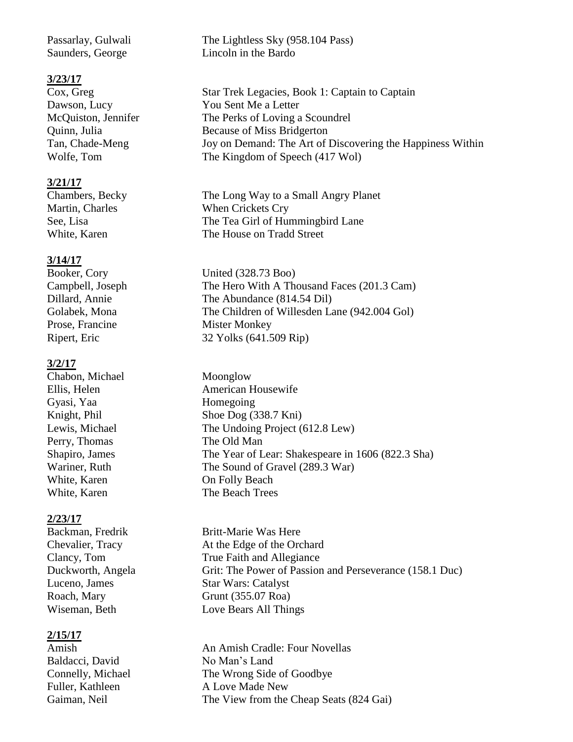#### **3/23/17**

#### **3/21/17**

#### **3/14/17**

Prose, Francine Mister Monkey

#### **3/2/17**

Chabon, Michael Moonglow Gyasi, Yaa Homegoing Perry, Thomas The Old Man

#### **2/23/17**

#### **2/15/17**

Baldacci, David No Man's Land

Passarlay, Gulwali The Lightless Sky (958.104 Pass) Saunders, George Lincoln in the Bardo

Cox, Greg Star Trek Legacies, Book 1: Captain to Captain Dawson, Lucy You Sent Me a Letter McQuiston, Jennifer The Perks of Loving a Scoundrel Quinn, Julia Because of Miss Bridgerton Tan, Chade-Meng Joy on Demand: The Art of Discovering the Happiness Within Wolfe, Tom The Kingdom of Speech (417 Wol)

Chambers, Becky The Long Way to a Small Angry Planet Martin, Charles When Crickets Cry See, Lisa The Tea Girl of Hummingbird Lane White, Karen The House on Tradd Street

Booker, Cory United (328.73 Boo) Campbell, Joseph The Hero With A Thousand Faces (201.3 Cam) Dillard, Annie The Abundance (814.54 Dil) Golabek, Mona The Children of Willesden Lane (942.004 Gol) Ripert, Eric 32 Yolks (641.509 Rip)

Ellis, Helen American Housewife Knight, Phil Shoe Dog (338.7 Kni) Lewis, Michael The Undoing Project (612.8 Lew) Shapiro, James The Year of Lear: Shakespeare in 1606 (822.3 Sha) Wariner, Ruth The Sound of Gravel (289.3 War) White, Karen **On Folly Beach** White, Karen The Beach Trees

Backman, Fredrik Britt-Marie Was Here Chevalier, Tracy At the Edge of the Orchard Clancy, Tom True Faith and Allegiance Duckworth, Angela Grit: The Power of Passion and Perseverance (158.1 Duc) Luceno, James Star Wars: Catalyst Roach, Mary Grunt (355.07 Roa) Wiseman, Beth Love Bears All Things

Amish An Amish Cradle: Four Novellas Connelly, Michael The Wrong Side of Goodbye Fuller, Kathleen A Love Made New Gaiman, Neil The View from the Cheap Seats (824 Gai)